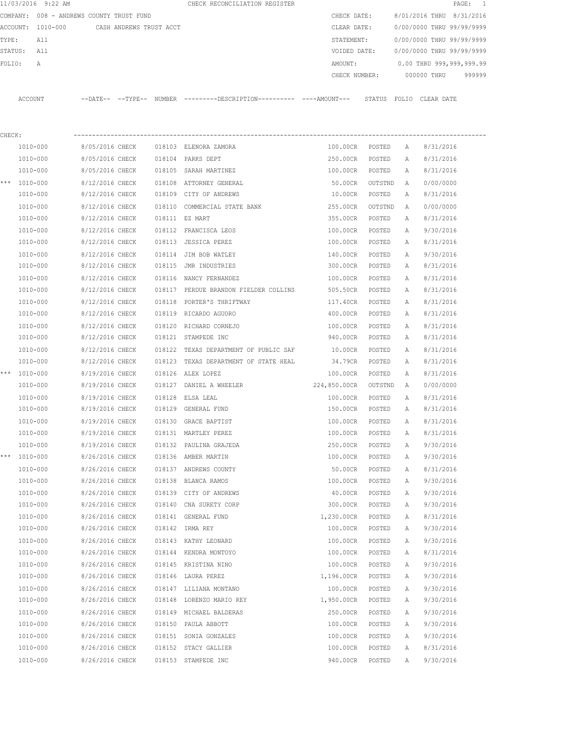|        | 11/03/2016 9:22 AM                       |                 |                         |        | CHECK RECONCILIATION REGISTER                                                                |                 |         |   |                           | $\texttt{PAGE}$ :<br>$\overline{\phantom{0}}$ |
|--------|------------------------------------------|-----------------|-------------------------|--------|----------------------------------------------------------------------------------------------|-----------------|---------|---|---------------------------|-----------------------------------------------|
|        | COMPANY: 008 - ANDREWS COUNTY TRUST FUND |                 |                         |        |                                                                                              | CHECK DATE:     |         |   | 8/01/2016 THRU 8/31/2016  |                                               |
|        | ACCOUNT: 1010-000                        |                 | CASH ANDREWS TRUST ACCT |        |                                                                                              | CLEAR DATE:     |         |   | 0/00/0000 THRU 99/99/9999 |                                               |
| TYPE:  | All                                      |                 |                         |        |                                                                                              | STATEMENT:      |         |   | 0/00/0000 THRU 99/99/9999 |                                               |
|        | STATUS:<br>All                           |                 |                         |        |                                                                                              | VOIDED DATE:    |         |   | 0/00/0000 THRU 99/99/9999 |                                               |
| FOLIO: | A                                        |                 |                         |        |                                                                                              | AMOUNT:         |         |   | 0.00 THRU 999,999,999.99  |                                               |
|        |                                          |                 |                         |        |                                                                                              | CHECK NUMBER:   |         |   | 000000 THRU               | 999999                                        |
|        | ACCOUNT                                  |                 |                         |        | --DATE-- --TYPE-- NUMBER ---------DESCRIPTION---------- ----AMOUNT--- STATUS FOLIO CLEARDATE |                 |         |   |                           |                                               |
| CHECK: |                                          |                 |                         |        |                                                                                              |                 |         |   |                           |                                               |
|        | 1010-000                                 | 8/05/2016 CHECK |                         |        | 018103 ELENORA ZAMORA                                                                        | 100.00CR POSTED |         | A | 8/31/2016                 |                                               |
|        | 1010-000                                 | 8/05/2016 CHECK |                         |        | 018104 PARKS DEPT                                                                            | 250.00CR        | POSTED  | A | 8/31/2016                 |                                               |
|        | 1010-000                                 | 8/05/2016 CHECK |                         |        | 018105 SARAH MARTINEZ                                                                        | 100.00CR        | POSTED  | А | 8/31/2016                 |                                               |
|        | *** 1010-000                             | 8/12/2016 CHECK |                         |        | 018108 ATTORNEY GENERAL                                                                      | 50.00CR         | OUTSTND | A | 0/00/0000                 |                                               |
|        | 1010-000                                 | 8/12/2016 CHECK |                         |        | 018109 CITY OF ANDREWS                                                                       | 10.00CR         | POSTED  | А | 8/31/2016                 |                                               |
|        | 1010-000                                 | 8/12/2016 CHECK |                         |        | 018110 COMMERCIAL STATE BANK                                                                 | 255.00CR        | OUTSTND | A | 0/00/0000                 |                                               |
|        | 1010-000                                 | 8/12/2016 CHECK |                         |        | 018111 EZ MART                                                                               | 355.00CR        | POSTED  | А | 8/31/2016                 |                                               |
|        | 1010-000                                 | 8/12/2016 CHECK |                         |        | 018112 FRANCISCA LEOS                                                                        | 100.00CR        | POSTED  | Α | 9/30/2016                 |                                               |
|        | 1010-000                                 | 8/12/2016 CHECK |                         |        | 018113 JESSICA PEREZ                                                                         | 100.00CR        | POSTED  | А | 8/31/2016                 |                                               |
|        | 1010-000                                 | 8/12/2016 CHECK |                         |        | 018114 JIM BOB WATLEY                                                                        | 140.00CR        | POSTED  | А | 9/30/2016                 |                                               |
|        | 1010-000                                 | 8/12/2016 CHECK |                         |        | 018115 JMR INDUSTRIES                                                                        | 300.00CR        | POSTED  | А | 8/31/2016                 |                                               |
|        | 1010-000                                 | 8/12/2016 CHECK |                         |        | 018116 NANCY FERNANDEZ                                                                       | 100.00CR        | POSTED  | Α | 8/31/2016                 |                                               |
|        | 1010-000                                 | 8/12/2016 CHECK |                         |        | 018117 PERDUE BRANDON FIELDER COLLINS                                                        | 505.50CR        | POSTED  | Α | 8/31/2016                 |                                               |
|        | 1010-000                                 | 8/12/2016 CHECK |                         | 018118 | PORTER'S THRIFTWAY                                                                           | 117.40CR        | POSTED  | Α | 8/31/2016                 |                                               |
|        | 1010-000                                 | 8/12/2016 CHECK |                         |        | 018119 RICARDO AGUORO                                                                        | 400.00CR        | POSTED  | А | 8/31/2016                 |                                               |
|        | 1010-000                                 | 8/12/2016 CHECK |                         |        | 018120 RICHARD CORNEJO                                                                       | 100.00CR        | POSTED  | Α | 8/31/2016                 |                                               |
|        | 1010-000                                 | 8/12/2016 CHECK |                         |        | 018121 STAMPEDE INC                                                                          | 940.00CR        | POSTED  | А | 8/31/2016                 |                                               |
|        | 1010-000                                 | 8/12/2016 CHECK |                         |        | 018122 TEXAS DEPARTMENT OF PUBLIC SAF                                                        | 10.00CR         | POSTED  | Α | 8/31/2016                 |                                               |
|        | 1010-000                                 | 8/12/2016 CHECK |                         |        | 018123 TEXAS DEPARTMENT OF STATE HEAL                                                        | 34.79CR         | POSTED  | Α | 8/31/2016                 |                                               |
|        | *** 1010-000                             | 8/19/2016 CHECK |                         | 018126 | ALEX LOPEZ                                                                                   | 100.00CR        | POSTED  | А | 8/31/2016                 |                                               |
|        | 1010-000                                 | 8/19/2016 CHECK |                         |        | 018127 DANIEL A WHEELER                                                                      | 224,850.00CR    | OUTSTND | A | 0/00/0000                 |                                               |
|        | 1010-000                                 | 8/19/2016 CHECK |                         | 018128 | ELSA LEAL                                                                                    | 100.00CR        | POSTED  | А | 8/31/2016                 |                                               |
|        | 1010-000                                 | 8/19/2016 CHECK |                         |        | 018129 GENERAL FUND                                                                          | 150.00CR        | POSTED  | Α | 8/31/2016                 |                                               |
|        | 1010-000                                 | 8/19/2016 CHECK |                         |        | 018130 GRACE BAPTIST                                                                         | 100.00CR        | POSTED  | A | 8/31/2016                 |                                               |
|        | 1010-000                                 | 8/19/2016 CHECK |                         |        | 018131 MARTLEY PEREZ                                                                         | 100.00CR        | POSTED  | Α | 8/31/2016                 |                                               |
|        | 1010-000                                 | 8/19/2016 CHECK |                         |        | 018132 PAULINA GRAJEDA                                                                       | 250.00CR        | POSTED  | Α | 9/30/2016                 |                                               |
|        | *** 1010-000                             | 8/26/2016 CHECK |                         |        | 018136 AMBER MARTIN                                                                          | 100.00CR        | POSTED  | Α | 9/30/2016                 |                                               |
|        | 1010-000                                 | 8/26/2016 CHECK |                         |        | 018137 ANDREWS COUNTY                                                                        | 50.00CR         | POSTED  | Α | 8/31/2016                 |                                               |
|        | 1010-000                                 | 8/26/2016 CHECK |                         |        | 018138 BLANCA RAMOS                                                                          | 100.00CR        | POSTED  | Α | 9/30/2016                 |                                               |
|        | $1010 - 000$                             | 8/26/2016 CHECK |                         |        | 018139 CITY OF ANDREWS                                                                       | 40.00CR         | POSTED  | Α | 9/30/2016                 |                                               |
|        | 1010-000                                 | 8/26/2016 CHECK |                         | 018140 | CNA SURETY CORP                                                                              | 300.00CR        | POSTED  | Α | 9/30/2016                 |                                               |
|        | 1010-000                                 | 8/26/2016 CHECK |                         |        | 018141 GENERAL FUND                                                                          | 1,230.00CR      | POSTED  | Α | 8/31/2016                 |                                               |
|        | 1010-000                                 | 8/26/2016 CHECK |                         |        | 018142 IRMA REY                                                                              | 100.00CR        | POSTED  | Α | 9/30/2016                 |                                               |
|        | 1010-000                                 | 8/26/2016 CHECK |                         |        | 018143 KATHY LEONARD                                                                         | 100.00CR        | POSTED  | Α | 9/30/2016                 |                                               |
|        | 1010-000                                 | 8/26/2016 CHECK |                         |        | 018144 KENDRA MONTOYO                                                                        | 100.00CR        | POSTED  | Α | 8/31/2016                 |                                               |
|        | 1010-000                                 | 8/26/2016 CHECK |                         |        | 018145 KRISTINA NINO                                                                         | 100.00CR        | POSTED  | Α | 9/30/2016                 |                                               |
|        | 1010-000                                 | 8/26/2016 CHECK |                         |        | 018146 LAURA PEREZ                                                                           | 1,196.00CR      | POSTED  | Α | 9/30/2016                 |                                               |
|        | 1010-000                                 | 8/26/2016 CHECK |                         |        | 018147 LILIANA MONTANO                                                                       | 100.00CR        | POSTED  | Α | 9/30/2016                 |                                               |
|        | 1010-000                                 | 8/26/2016 CHECK |                         | 018148 | LORENZO MARIO REY                                                                            | 1,950.00CR      | POSTED  | Α | 9/30/2016                 |                                               |
|        | 1010-000                                 | 8/26/2016 CHECK |                         |        | 018149 MICHAEL BALDERAS                                                                      | 250.00CR        | POSTED  | Α | 9/30/2016                 |                                               |
|        | 1010-000                                 | 8/26/2016 CHECK |                         |        | 018150 PAULA ABBOTT                                                                          | 100.00CR        | POSTED  | Α | 9/30/2016                 |                                               |
|        | 1010-000                                 | 8/26/2016 CHECK |                         |        | 018151 SONIA GONZALES                                                                        | 100.00CR        | POSTED  | Α | 9/30/2016                 |                                               |
|        | 1010-000                                 | 8/26/2016 CHECK |                         |        | 018152 STACY GALLIER                                                                         | 100.00CR        | POSTED  | Α | 8/31/2016                 |                                               |
|        | 1010-000                                 | 8/26/2016 CHECK |                         |        | 018153 STAMPEDE INC                                                                          | 940.00CR        | POSTED  | Α | 9/30/2016                 |                                               |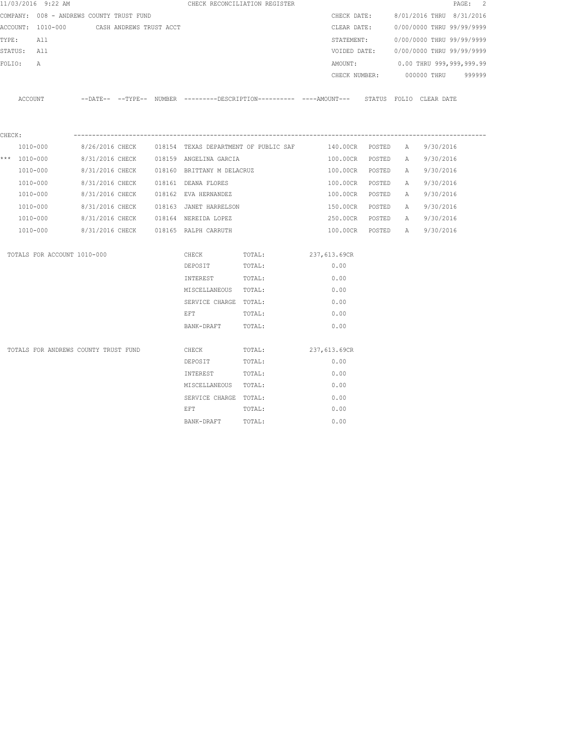|        | 11/03/2016 9:22 AM                       |                 |                         |                                      | CHECK RECONCILIATION REGISTER                                                                |               |        |   |                           | PAGE: 2 |
|--------|------------------------------------------|-----------------|-------------------------|--------------------------------------|----------------------------------------------------------------------------------------------|---------------|--------|---|---------------------------|---------|
|        | COMPANY: 008 - ANDREWS COUNTY TRUST FUND |                 |                         |                                      |                                                                                              | CHECK DATE:   |        |   | 8/01/2016 THRU 8/31/2016  |         |
|        | ACCOUNT: 1010-000                        |                 | CASH ANDREWS TRUST ACCT |                                      |                                                                                              | CLEAR DATE:   |        |   | 0/00/0000 THRU 99/99/9999 |         |
| TYPE:  | All                                      |                 |                         |                                      |                                                                                              | STATEMENT:    |        |   | 0/00/0000 THRU 99/99/9999 |         |
|        | STATUS: All                              |                 |                         |                                      |                                                                                              | VOIDED DATE:  |        |   | 0/00/0000 THRU 99/99/9999 |         |
| FOLIO: | A                                        |                 |                         |                                      |                                                                                              | AMOUNT:       |        |   | 0.00 THRU 999,999,999.99  |         |
|        |                                          |                 |                         |                                      |                                                                                              | CHECK NUMBER: |        |   | 000000 THRU               | 999999  |
|        | ACCOUNT                                  |                 |                         |                                      | --DATE-- --TYPE-- NUMBER --------DESCRIPTION---------- ----AMOUNT--- STATUS FOLIO CLEAR-DATE |               |        |   |                           |         |
| CHECK: |                                          |                 |                         |                                      |                                                                                              |               |        |   |                           |         |
|        | 1010-000                                 | 8/26/2016 CHECK |                         |                                      | 018154 TEXAS DEPARTMENT OF PUBLIC SAF                                                        | 140.00CR      | POSTED | A | 9/30/2016                 |         |
|        | *** $1010 - 000$                         | 8/31/2016 CHECK |                         | 018159 ANGELINA GARCIA               |                                                                                              | 100.00CR      | POSTED | A | 9/30/2016                 |         |
|        | 1010-000                                 | 8/31/2016 CHECK |                         | 018160 BRITTANY M DELACRUZ           |                                                                                              | 100.00CR      | POSTED | A | 9/30/2016                 |         |
|        | 1010-000                                 | 8/31/2016 CHECK |                         | 018161 DEANA FLORES                  |                                                                                              | 100.00CR      | POSTED | A | 9/30/2016                 |         |
|        | 1010-000                                 | 8/31/2016 CHECK |                         | 018162 EVA HERNANDEZ                 |                                                                                              | 100.00CR      | POSTED | Α | 9/30/2016                 |         |
|        | 1010-000                                 | 8/31/2016 CHECK |                         | 018163 JANET HARRELSON               |                                                                                              | 150.00CR      | POSTED | Α | 9/30/2016                 |         |
|        | 1010-000                                 |                 |                         | 8/31/2016 CHECK 018164 NEREIDA LOPEZ |                                                                                              | 250.00CR      | POSTED | A | 9/30/2016                 |         |
|        | 1010-000                                 |                 |                         | 8/31/2016 CHECK 018165 RALPH CARRUTH |                                                                                              | 100.00CR      | POSTED | A | 9/30/2016                 |         |
|        | TOTALS FOR ACCOUNT 1010-000              |                 |                         | CHECK                                | TOTAL:                                                                                       | 237,613.69CR  |        |   |                           |         |
|        |                                          |                 |                         | DEPOSIT                              | TOTAL:                                                                                       | 0.00          |        |   |                           |         |
|        |                                          |                 |                         | INTEREST                             | TOTAL:                                                                                       | 0.00          |        |   |                           |         |
|        |                                          |                 |                         | MISCELLANEOUS TOTAL:                 |                                                                                              | 0.00          |        |   |                           |         |
|        |                                          |                 |                         | SERVICE CHARGE TOTAL:                |                                                                                              | 0.00          |        |   |                           |         |
|        |                                          |                 |                         | EFT                                  | TOTAL:                                                                                       | 0.00          |        |   |                           |         |
|        |                                          |                 |                         | BANK-DRAFT                           | TOTAL:                                                                                       | 0.00          |        |   |                           |         |
|        | TOTALS FOR ANDREWS COUNTY TRUST FUND     |                 |                         |                                      |                                                                                              | 237,613.69CR  |        |   |                           |         |
|        |                                          |                 |                         | CHECK<br>DEPOSIT                     | TOTAL:<br>TOTAL:                                                                             | 0.00          |        |   |                           |         |
|        |                                          |                 |                         | INTEREST                             | TOTAL:                                                                                       | 0.00          |        |   |                           |         |
|        |                                          |                 |                         | MISCELLANEOUS TOTAL:                 |                                                                                              | 0.00          |        |   |                           |         |
|        |                                          |                 |                         | SERVICE CHARGE TOTAL:                |                                                                                              | 0.00          |        |   |                           |         |
|        |                                          |                 |                         | EFT                                  | TOTAL:                                                                                       | 0.00          |        |   |                           |         |
|        |                                          |                 |                         | BANK-DRAFT                           | TOTAL:                                                                                       | 0.00          |        |   |                           |         |
|        |                                          |                 |                         |                                      |                                                                                              |               |        |   |                           |         |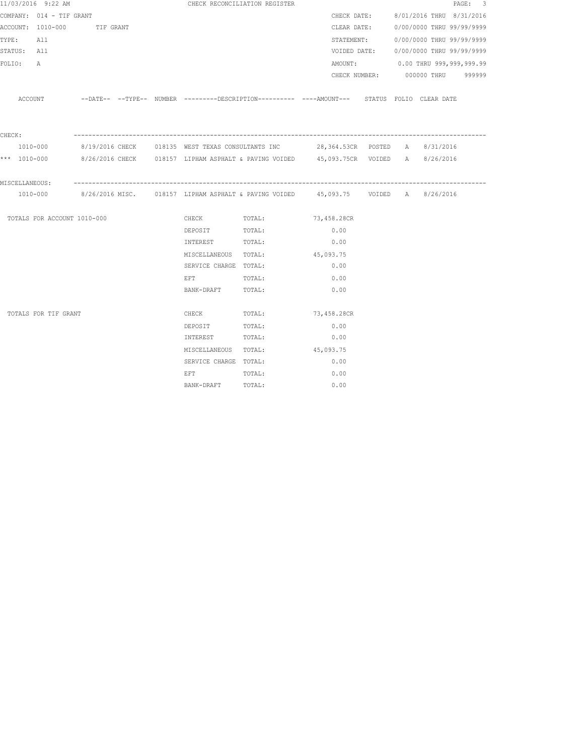|                 | 11/03/2016 9:22 AM          |  |                                                                                                   | CHECK RECONCILIATION REGISTER  |             |  |                                        | PAGE: 3 |
|-----------------|-----------------------------|--|---------------------------------------------------------------------------------------------------|--------------------------------|-------------|--|----------------------------------------|---------|
|                 | COMPANY: 014 - TIF GRANT    |  |                                                                                                   |                                |             |  | CHECK DATE: 8/01/2016 THRU 8/31/2016   |         |
|                 | ACCOUNT: 1010-000 TIF GRANT |  |                                                                                                   |                                |             |  | CLEAR DATE: 0/00/0000 THRU 99/99/9999  |         |
| TYPE: All       |                             |  |                                                                                                   |                                |             |  | STATEMENT: 0/00/0000 THRU 99/99/9999   |         |
| STATUS: All     |                             |  |                                                                                                   |                                |             |  | VOIDED DATE: 0/00/0000 THRU 99/99/9999 |         |
| FOLIO: A        |                             |  |                                                                                                   |                                |             |  | AMOUNT: 0.00 THRU 999,999,999.99       |         |
|                 |                             |  |                                                                                                   |                                |             |  | CHECK NUMBER: 000000 THRU 999999       |         |
|                 |                             |  |                                                                                                   |                                |             |  |                                        |         |
|                 | ACCOUNT                     |  | --DATE-- --TYPE-- NUMBER ---------DESCRIPTION---------- ----AMOUNT--- STATUS FOLIO CLEAR DATE     |                                |             |  |                                        |         |
|                 |                             |  |                                                                                                   |                                |             |  |                                        |         |
|                 |                             |  |                                                                                                   |                                |             |  |                                        |         |
| ${\tt CHECK}$ : |                             |  |                                                                                                   |                                |             |  |                                        |         |
|                 | 1010-000                    |  | 8/19/2016 CHECK 618135 WEST TEXAS CONSULTANTS INC 38,364.53CR POSTED A 8/31/2016                  |                                |             |  |                                        |         |
|                 |                             |  | *** 1010-000 8/26/2016 CHECK 018157 LIPHAM ASPHALT & PAVING VOIDED 45,093.75CR VOIDED A 8/26/2016 |                                |             |  |                                        |         |
|                 |                             |  |                                                                                                   |                                |             |  |                                        |         |
|                 | MISCELLANEOUS:              |  |                                                                                                   |                                |             |  |                                        |         |
|                 |                             |  | 1010-000 8/26/2016 MISC. 018157 LIPHAM ASPHALT & PAVING VOIDED 45,093.75 VOIDED A 8/26/2016       |                                |             |  |                                        |         |
|                 | TOTALS FOR ACCOUNT 1010-000 |  | CHECK TOTAL:                                                                                      |                                | 73,458.28CR |  |                                        |         |
|                 |                             |  | DEPOSIT                                                                                           | TOTAL:                         | 0.00        |  |                                        |         |
|                 |                             |  | INTEREST TOTAL:                                                                                   |                                | 0.00        |  |                                        |         |
|                 |                             |  |                                                                                                   | MISCELLANEOUS TOTAL: 45,093.75 |             |  |                                        |         |
|                 |                             |  | SERVICE CHARGE TOTAL:                                                                             |                                | 0.00        |  |                                        |         |
|                 |                             |  | EFT<br>TOTAL:                                                                                     |                                | 0.00        |  |                                        |         |
|                 |                             |  | BANK-DRAFT TOTAL:                                                                                 |                                | 0.00        |  |                                        |         |
|                 |                             |  |                                                                                                   |                                |             |  |                                        |         |
|                 | TOTALS FOR TIF GRANT        |  | <b>CHECK</b>                                                                                      | TOTAL:                         | 73,458.28CR |  |                                        |         |
|                 |                             |  | DEPOSIT TOTAL:                                                                                    |                                | 0.00        |  |                                        |         |
|                 |                             |  | INTEREST TOTAL:                                                                                   |                                | 0.00        |  |                                        |         |
|                 |                             |  | MISCELLANEOUS TOTAL:                                                                              |                                | 45,093.75   |  |                                        |         |
|                 |                             |  | SERVICE CHARGE TOTAL:                                                                             |                                | 0.00        |  |                                        |         |
|                 |                             |  | EFT                                                                                               | TOTAL:                         | 0.00        |  |                                        |         |
|                 |                             |  | BANK-DRAFT TOTAL:                                                                                 |                                | 0.00        |  |                                        |         |
|                 |                             |  |                                                                                                   |                                |             |  |                                        |         |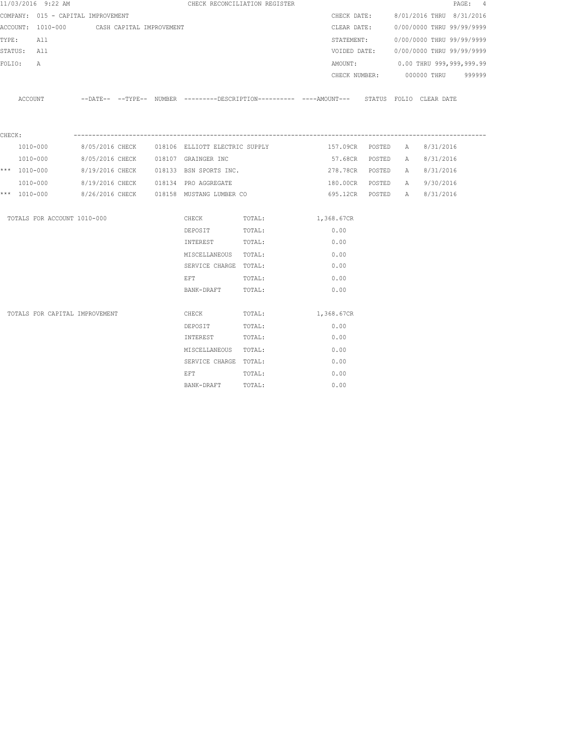|        | 11/03/2016 9:22 AM                         |                 |  |                                          | CHECK RECONCILIATION REGISTER |                                                                                             |        |   |                                        | PAGE: 4 |
|--------|--------------------------------------------|-----------------|--|------------------------------------------|-------------------------------|---------------------------------------------------------------------------------------------|--------|---|----------------------------------------|---------|
|        | COMPANY: 015 - CAPITAL IMPROVEMENT         |                 |  |                                          |                               | CHECK DATE:                                                                                 |        |   | 8/01/2016 THRU 8/31/2016               |         |
|        | ACCOUNT: 1010-000 CASH CAPITAL IMPROVEMENT |                 |  |                                          |                               | CLEAR DATE:                                                                                 |        |   | 0/00/0000 THRU 99/99/9999              |         |
| TYPE:  | All                                        |                 |  |                                          |                               | STATEMENT:                                                                                  |        |   | 0/00/0000 THRU 99/99/9999              |         |
|        | STATUS: All                                |                 |  |                                          |                               |                                                                                             |        |   | VOIDED DATE: 0/00/0000 THRU 99/99/9999 |         |
| FOLIO: | $\mathbb{A}$                               |                 |  |                                          |                               | AMOUNT:                                                                                     |        |   | 0.00 THRU 999,999,999.99               |         |
|        |                                            |                 |  |                                          |                               |                                                                                             |        |   | CHECK NUMBER: 000000 THRU              | 999999  |
|        |                                            |                 |  |                                          |                               |                                                                                             |        |   |                                        |         |
|        | ACCOUNT                                    |                 |  |                                          |                               | --DATE-- --TYPE-- NUMBER --------DESCRIPTION--------- ----AMOUNT--- STATUS FOLIO CLEAR-DATE |        |   |                                        |         |
|        |                                            |                 |  |                                          |                               |                                                                                             |        |   |                                        |         |
| CHECK: |                                            |                 |  |                                          |                               |                                                                                             |        |   |                                        |         |
|        | 1010-000                                   | 8/05/2016 CHECK |  | 018106 ELLIOTT ELECTRIC SUPPLY           |                               | 157.09CR POSTED                                                                             |        | A | 8/31/2016                              |         |
|        | 1010-000                                   |                 |  | 8/05/2016 CHECK 018107 GRAINGER INC      |                               | 57.68CR                                                                                     | POSTED | A | 8/31/2016                              |         |
|        | *** 1010-000                               |                 |  | 8/19/2016 CHECK 018133 BSN SPORTS INC.   |                               | 278.78CR POSTED                                                                             |        | A | 8/31/2016                              |         |
|        | 1010-000                                   |                 |  | 8/19/2016 CHECK 018134 PRO AGGREGATE     |                               | 180.00CR POSTED                                                                             |        |   | A 9/30/2016                            |         |
|        | *** 1010-000                               |                 |  | 8/26/2016 CHECK 018158 MUSTANG LUMBER CO |                               | 695.12CR POSTED                                                                             |        |   | A 8/31/2016                            |         |
|        |                                            |                 |  |                                          |                               |                                                                                             |        |   |                                        |         |
|        | TOTALS FOR ACCOUNT 1010-000                |                 |  | CHECK TOTAL:                             |                               | 1,368.67CR                                                                                  |        |   |                                        |         |
|        |                                            |                 |  | DEPOSIT                                  | TOTAL:                        | 0.00                                                                                        |        |   |                                        |         |
|        |                                            |                 |  | INTEREST                                 | TOTAL:                        | 0.00                                                                                        |        |   |                                        |         |
|        |                                            |                 |  | MISCELLANEOUS TOTAL:                     |                               | 0.00                                                                                        |        |   |                                        |         |
|        |                                            |                 |  | SERVICE CHARGE TOTAL:                    |                               | 0.00                                                                                        |        |   |                                        |         |
|        |                                            |                 |  | EFT                                      | TOTAL:                        | 0.00                                                                                        |        |   |                                        |         |
|        |                                            |                 |  | BANK-DRAFT                               | TOTAL:                        | 0.00                                                                                        |        |   |                                        |         |
|        | TOTALS FOR CAPITAL IMPROVEMENT             |                 |  | CHECK                                    | TOTAL:                        | 1,368.67CR                                                                                  |        |   |                                        |         |
|        |                                            |                 |  | DEPOSIT                                  | TOTAL:                        | 0.00                                                                                        |        |   |                                        |         |
|        |                                            |                 |  | INTEREST                                 | TOTAL:                        | 0.00                                                                                        |        |   |                                        |         |
|        |                                            |                 |  | MISCELLANEOUS TOTAL:                     |                               | 0.00                                                                                        |        |   |                                        |         |
|        |                                            |                 |  | SERVICE CHARGE TOTAL:                    |                               | 0.00                                                                                        |        |   |                                        |         |
|        |                                            |                 |  | EFT                                      | TOTAL:                        | 0.00                                                                                        |        |   |                                        |         |
|        |                                            |                 |  | BANK-DRAFT                               | TOTAL:                        | 0.00                                                                                        |        |   |                                        |         |
|        |                                            |                 |  |                                          |                               |                                                                                             |        |   |                                        |         |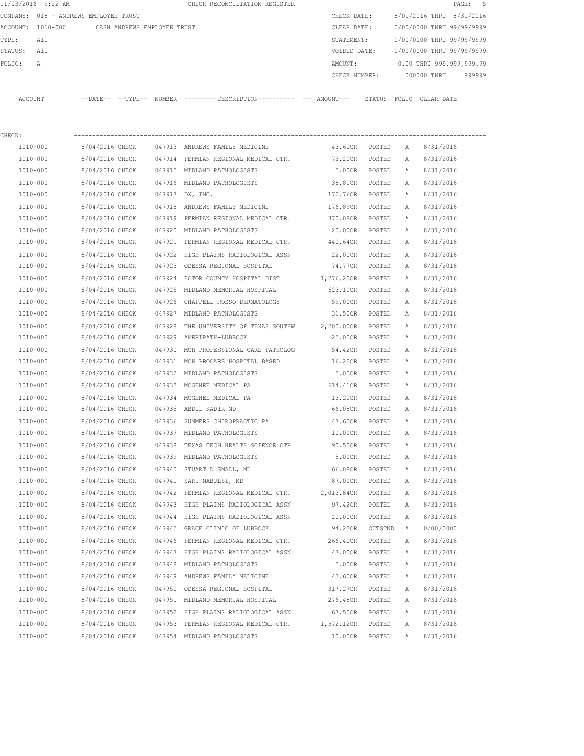|         | 11/03/2016 9:22 AM |                                       | CHECK RECONCILIATION REGISTER                       |               |                           | PAGE: 5 |  |
|---------|--------------------|---------------------------------------|-----------------------------------------------------|---------------|---------------------------|---------|--|
|         |                    | COMPANY: 018 - ANDREWS EMPLOYEE TRUST |                                                     | CHECK DATE:   | 8/01/2016 THRU 8/31/2016  |         |  |
|         | ACCOUNT: 1010-000  | CASH ANDREWS EMPLOYEE TRUST           |                                                     | CLEAR DATE:   | 0/00/0000 THRU 99/99/9999 |         |  |
| TYPE:   | All                |                                       |                                                     | STATEMENT:    | 0/00/0000 THRU 99/99/9999 |         |  |
| STATUS: | All                |                                       |                                                     | VOIDED DATE:  | 0/00/0000 THRU 99/99/9999 |         |  |
| FOLIO:  | Α                  |                                       |                                                     | AMOUNT:       | 0.00 THRU 999,999,999.99  |         |  |
|         |                    |                                       |                                                     | CHECK NUMBER: | 000000 THRU               | 999999  |  |
| ACCOUNT |                    | --DATE-- --TYPE--                     | NUMBER ---------DESCRIPTION---------- ----AMOUNT--- | STATUS        | FOLIO CLEAR DATE          |         |  |
| CHECK:  |                    |                                       |                                                     |               |                           |         |  |

| 1010-000     | 8/04/2016 CHECK |        | 047913 ANDREWS FAMILY MEDICINE                       | 43.60CR           | POSTED  | А            | 8/31/2016 |
|--------------|-----------------|--------|------------------------------------------------------|-------------------|---------|--------------|-----------|
| 1010-000     | 8/04/2016 CHECK |        | 047914 PERMIAN REGIONAL MEDICAL CTR.                 | 73.20CR           | POSTED  | $\mathbb{A}$ | 8/31/2016 |
| 1010-000     | 8/04/2016 CHECK |        | 047915 MIDLAND PATHOLOGISTS                          | 5.00CR            | POSTED  | $\mathbb{A}$ | 8/31/2016 |
| 1010-000     | 8/04/2016 CHECK |        | 047916 MIDLAND PATHOLOGISTS                          | 38.81CR           | POSTED  | A            | 8/31/2016 |
| 1010-000     | 8/04/2016 CHECK |        | 047917 DX, INC.                                      | 172.76CR          | POSTED  | A            | 8/31/2016 |
| 1010-000     | 8/04/2016 CHECK |        | 047918 ANDREWS FAMILY MEDICINE                       | 176.89CR          | POSTED  | A            | 8/31/2016 |
| 1010-000     | 8/04/2016 CHECK |        | 047919 PERMIAN REGIONAL MEDICAL CTR.                 | 370.08CR          | POSTED  | A            | 8/31/2016 |
| 1010-000     | 8/04/2016 CHECK |        | 047920 MIDLAND PATHOLOGISTS                          | 20.00CR           | POSTED  | A            | 8/31/2016 |
| 1010-000     | 8/04/2016 CHECK |        | 047921 PERMIAN REGIONAL MEDICAL CTR.                 | 440.64CR          | POSTED  | A            | 8/31/2016 |
| 1010-000     | 8/04/2016 CHECK |        | 047922 HIGH PLAINS RADIOLOGICAL ASSN                 | 22.00CR           | POSTED  | Α            | 8/31/2016 |
| 1010-000     | 8/04/2016 CHECK |        | 047923 ODESSA REGIONAL HOSPITAL                      | 74.77CR POSTED    |         | A            | 8/31/2016 |
| 1010-000     | 8/04/2016 CHECK |        | 047924 ECTOR COUNTY HOSPITAL DIST                    | 1,276.20CR POSTED |         | Α            | 8/31/2016 |
| 1010-000     | 8/04/2016 CHECK |        | 047925 MIDLAND MEMORIAL HOSPITAL                     | 623.10CR POSTED   |         | Α            | 8/31/2016 |
| 1010-000     | 8/04/2016 CHECK |        | 047926 CHAPPELL ROSSO DERMATOLOGY                    | 59.00CR           | POSTED  | Α            | 8/31/2016 |
| 1010-000     | 8/04/2016 CHECK |        | 047927 MIDLAND PATHOLOGISTS                          | 31.50CR           | POSTED  | A            | 8/31/2016 |
| 1010-000     | 8/04/2016 CHECK |        | 047928 THE UNIVERSITY OF TEXAS SOUTHW 2,200.00CR     |                   | POSTED  | Α            | 8/31/2016 |
| 1010-000     | 8/04/2016 CHECK |        | 047929 AMERIPATH-LUBBOCK                             | 25.00CR           | POSTED  | Α            | 8/31/2016 |
| 1010-000     | 8/04/2016 CHECK |        | 047930 MCH PROFESSIONAL CARE PATHOLOG                | 54.42CR           | POSTED  | A            | 8/31/2016 |
| 1010-000     | 8/04/2016 CHECK |        | 047931 MCH PROCARE HOSPITAL BASED                    | 16.22CR           | POSTED  | A            | 8/31/2016 |
| 1010-000     | 8/04/2016 CHECK |        | 047932 MIDLAND PATHOLOGISTS                          | 5.00CR            | POSTED  | A            | 8/31/2016 |
| 1010-000     | 8/04/2016 CHECK |        | 047933 MCGEHEE MEDICAL PA                            | 614.41CR          | POSTED  | A            | 8/31/2016 |
| 1010-000     | 8/04/2016 CHECK |        | 047934 MCGEHEE MEDICAL PA                            | 13.20CR POSTED    |         | Α            | 8/31/2016 |
| 1010-000     | 8/04/2016 CHECK |        | 047935 ABDUL KADIR MD                                | 66.08CR POSTED    |         | Α            | 8/31/2016 |
| 1010-000     | 8/04/2016 CHECK |        | 047936 SUMMERS CHIROPRACTIC PA                       | 47.60CR POSTED    |         | Α            | 8/31/2016 |
| 1010-000     | 8/04/2016 CHECK |        | 047937 MIDLAND PATHOLOGISTS                          | 10.00CR           | POSTED  | Α            | 8/31/2016 |
| 1010-000     | 8/04/2016 CHECK |        | 047938 TEXAS TECH HEALTH SCIENCE CTR                 | 90.50CR           | POSTED  | Α            | 8/31/2016 |
| 1010-000     | 8/04/2016 CHECK |        | 047939 MIDLAND PATHOLOGISTS                          | 5.00CR            | POSTED  | Α            | 8/31/2016 |
| 1010-000     | 8/04/2016 CHECK |        | 047940 STUART D SMALL, MD                            | 66.08CR           | POSTED  | Α            | 8/31/2016 |
| 1010-000     | 8/04/2016 CHECK |        | 047941 SARI NABULSI, MD                              | 87.00CR           | POSTED  | A            | 8/31/2016 |
| 1010-000     | 8/04/2016 CHECK |        | 047942 PERMIAN REGIONAL MEDICAL CTR. 2,013.84CR      |                   | POSTED  | A            | 8/31/2016 |
| 1010-000     | 8/04/2016 CHECK |        | 047943 HIGH PLAINS RADIOLOGICAL ASSN                 | 97.42CR           | POSTED  | A            | 8/31/2016 |
| 1010-000     | 8/04/2016 CHECK |        | 047944 HIGH PLAINS RADIOLOGICAL ASSN                 | 20.00CR           | POSTED  | Α            | 8/31/2016 |
| 1010-000     | 8/04/2016 CHECK |        | 047945 GRACE CLINIC OF LUBBOCK                       | 94.23CR           | OUTSTND | A            | 0/00/0000 |
| 1010-000     | 8/04/2016 CHECK |        | 047946 PERMIAN REGIONAL MEDICAL CTR.                 | 266.40CR          | POSTED  | Α            | 8/31/2016 |
| 1010-000     |                 |        | 8/04/2016 CHECK 047947 HIGH PLAINS RADIOLOGICAL ASSN | 47.00CR POSTED    |         | A            | 8/31/2016 |
| 1010-000     | 8/04/2016 CHECK |        | 047948 MIDLAND PATHOLOGISTS                          | 5.00CR            | POSTED  | $\mathbb{A}$ | 8/31/2016 |
| 1010-000     | 8/04/2016 CHECK | 047949 | ANDREWS FAMILY MEDICINE                              | 43.60CR           | POSTED  | Α            | 8/31/2016 |
| 1010-000     | 8/04/2016 CHECK | 047950 | ODESSA REGIONAL HOSPITAL                             | 317.27CR          | POSTED  | Α            | 8/31/2016 |
| 1010-000     | 8/04/2016 CHECK |        | 047951 MIDLAND MEMORIAL HOSPITAL                     | 276.48CR          | POSTED  | Α            | 8/31/2016 |
| 1010-000     | 8/04/2016 CHECK | 047952 | HIGH PLAINS RADIOLOGICAL ASSN                        | 67.50CR           | POSTED  | Α            | 8/31/2016 |
| $1010 - 000$ | 8/04/2016 CHECK | 047953 | PERMIAN REGIONAL MEDICAL CTR.                        | 1,572.12CR        | POSTED  | Α            | 8/31/2016 |
| 1010-000     | 8/04/2016 CHECK |        | 047954 MIDLAND PATHOLOGISTS                          | 10.00CR           | POSTED  | Α            | 8/31/2016 |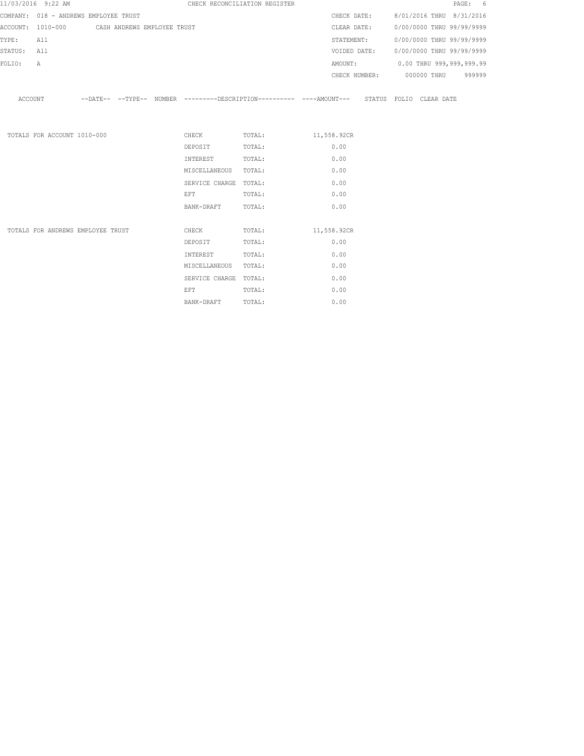|             | 11/03/2016 9:22 AM                            |  |                       | CHECK RECONCILIATION REGISTER                                                                 |             |            |  | PAGE: 6                                |
|-------------|-----------------------------------------------|--|-----------------------|-----------------------------------------------------------------------------------------------|-------------|------------|--|----------------------------------------|
|             | COMPANY: 018 - ANDREWS EMPLOYEE TRUST         |  |                       |                                                                                               |             |            |  | CHECK DATE: 8/01/2016 THRU 8/31/2016   |
|             | ACCOUNT: 1010-000 CASH ANDREWS EMPLOYEE TRUST |  |                       |                                                                                               |             |            |  | CLEAR DATE: 0/00/0000 THRU 99/99/9999  |
| TYPE:       | All                                           |  |                       |                                                                                               |             | STATEMENT: |  | 0/00/0000 THRU 99/99/9999              |
| STATUS: All |                                               |  |                       |                                                                                               |             |            |  | VOIDED DATE: 0/00/0000 THRU 99/99/9999 |
| FOLIO:      | Α                                             |  |                       |                                                                                               |             |            |  | AMOUNT: 0.00 THRU 999,999,999.99       |
|             |                                               |  |                       |                                                                                               |             |            |  | CHECK NUMBER: 000000 THRU 999999       |
| ACCOUNT     |                                               |  |                       | --DATE-- --TYPE-- NUMBER ---------DESCRIPTION---------- ----AMOUNT--- STATUS FOLIO CLEAR-DATE |             |            |  |                                        |
|             | TOTALS FOR ACCOUNT 1010-000                   |  |                       | CHECK TOTAL: 11,558.92CR                                                                      |             |            |  |                                        |
|             |                                               |  | DEPOSIT               | TOTAL:                                                                                        |             | 0.00       |  |                                        |
|             |                                               |  | INTEREST              | TOTAL:                                                                                        |             | 0.00       |  |                                        |
|             |                                               |  | MISCELLANEOUS TOTAL:  |                                                                                               |             | 0.00       |  |                                        |
|             |                                               |  | SERVICE CHARGE TOTAL: |                                                                                               |             | 0.00       |  |                                        |
|             |                                               |  | <b>EFT</b>            | TOTAL:                                                                                        |             | 0.00       |  |                                        |
|             |                                               |  | BANK-DRAFT            | TOTAL:                                                                                        |             | 0.00       |  |                                        |
|             | TOTALS FOR ANDREWS EMPLOYEE TRUST             |  | CHECK                 | TOTAL:                                                                                        | 11,558.92CR |            |  |                                        |
|             |                                               |  | DEPOSIT               | TOTAL:                                                                                        |             | 0.00       |  |                                        |
|             |                                               |  | INTEREST              | TOTAL:                                                                                        |             | 0.00       |  |                                        |
|             |                                               |  | MISCELLANEOUS TOTAL:  |                                                                                               |             | 0.00       |  |                                        |
|             |                                               |  | SERVICE CHARGE TOTAL: |                                                                                               |             | 0.00       |  |                                        |
|             |                                               |  | EFT.                  | TOTAL:                                                                                        |             | 0.00       |  |                                        |

BANK-DRAFT TOTAL: 0.00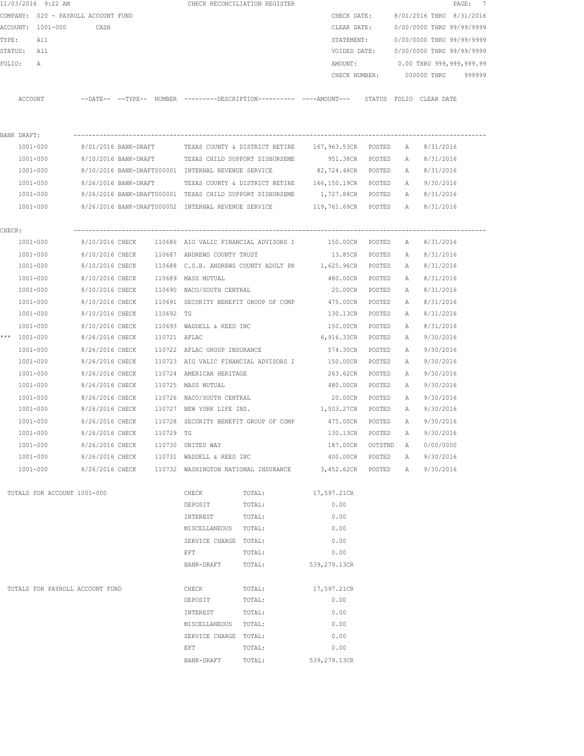|        |              | 11/03/2016 9:22 AM                  |                           |              |                                                      | CHECK RECONCILIATION REGISTER                                                                |                   |         |   |                                        | PAGE: 7 |
|--------|--------------|-------------------------------------|---------------------------|--------------|------------------------------------------------------|----------------------------------------------------------------------------------------------|-------------------|---------|---|----------------------------------------|---------|
|        |              | COMPANY: 020 - PAYROLL ACCOUNT FUND |                           |              |                                                      |                                                                                              | CHECK DATE:       |         |   | 8/01/2016 THRU 8/31/2016               |         |
|        |              | ACCOUNT: 1001-000                   | CASH                      |              |                                                      |                                                                                              | CLEAR DATE:       |         |   | 0/00/0000 THRU 99/99/9999              |         |
| TYPE:  |              | All                                 |                           |              |                                                      |                                                                                              | STATEMENT:        |         |   | 0/00/0000 THRU 99/99/9999              |         |
|        | STATUS: All  |                                     |                           |              |                                                      |                                                                                              |                   |         |   | VOIDED DATE: 0/00/0000 THRU 99/99/9999 |         |
| FOLIO: |              | $\mathbb{A}$                        |                           |              |                                                      |                                                                                              | AMOUNT:           |         |   | 0.00 THRU 999,999,999.99               |         |
|        |              |                                     |                           |              |                                                      |                                                                                              | CHECK NUMBER:     |         |   | 000000 THRU 999999                     |         |
|        |              |                                     |                           |              |                                                      |                                                                                              |                   |         |   |                                        |         |
|        | ACCOUNT      |                                     |                           |              |                                                      | --DATE-- --TYPE-- NUMBER ---------DESCRIPTION---------- ----AMOUNT--- STATUS FOLIO CLEARDATE |                   |         |   |                                        |         |
|        |              |                                     |                           |              |                                                      |                                                                                              |                   |         |   |                                        |         |
|        | BANK DRAFT:  |                                     |                           |              |                                                      |                                                                                              |                   |         |   |                                        |         |
|        |              | 1001-000                            |                           |              |                                                      | 8/01/2016 BANK-DRAFT     TEXAS COUNTY & DISTRICT RETIRE     167,963.53CR   POSTED            |                   |         | A | 8/31/2016                              |         |
|        | 1001-000     |                                     |                           |              |                                                      | 8/10/2016 BANK-DRAFT TEXAS CHILD SUPPORT DISBURSEME                                          | 951.38CR POSTED   |         | A | 8/31/2016                              |         |
|        | 1001-000     |                                     |                           |              |                                                      | 8/10/2016 BANK-DRAFT000001 INTERNAL REVENUE SERVICE 62,724.46CR POSTED                       |                   |         | A | 8/31/2016                              |         |
|        |              | 1001-000                            |                           |              |                                                      | 8/26/2016 BANK-DRAFT TEXAS COUNTY & DISTRICT RETIRE 166,150.19CR POSTED                      |                   |         | A | 9/30/2016                              |         |
|        |              | 1001-000                            |                           |              |                                                      | 8/26/2016 BANK-DRAFT000001 TEXAS CHILD SUPPORT DISBURSEME                                    | 1,727.88CR POSTED |         |   | A 8/31/2016                            |         |
|        |              | 1001-000                            |                           |              |                                                      | 8/26/2016 BANK-DRAFT000002 INTERNAL REVENUE SERVICE 119,761.69CR POSTED A 8/31/2016          |                   |         |   |                                        |         |
|        |              |                                     |                           |              |                                                      |                                                                                              |                   |         |   |                                        |         |
| CHECK: |              |                                     |                           |              |                                                      |                                                                                              |                   |         |   |                                        |         |
|        | 1001-000     |                                     |                           |              |                                                      | 8/10/2016 CHECK 110686 AIG VALIC FINANCIAL ADVISORS I 150.00CR POSTED                        |                   |         | A | 8/31/2016                              |         |
|        | 1001-000     |                                     |                           |              |                                                      | 8/10/2016 CHECK 110687 ANDREWS COUNTY TRUST                                                  | 13.85CR POSTED    |         | A | 8/31/2016                              |         |
|        | 1001-000     |                                     |                           |              |                                                      | 8/10/2016 CHECK 110688 C.S.B. ANDREWS COUNTY ADULT PR 1,625.96CR POSTED                      |                   |         | A | 8/31/2016                              |         |
|        | 1001-000     |                                     |                           |              | 8/10/2016 CHECK 110689 MASS MUTUAL                   |                                                                                              | 480.00CR          | POSTED  | A | 8/31/2016                              |         |
|        |              | 1001-000                            |                           |              | 8/10/2016 CHECK 110690 NACO/SOUTH CENTRAL            |                                                                                              | 20.00CR POSTED    |         | A | 8/31/2016                              |         |
|        |              | 1001-000                            |                           |              |                                                      | 8/10/2016 CHECK 110691 SECURITY BENEFIT GROUP OF COMP 475.00CR                               |                   | POSTED  | A | 8/31/2016                              |         |
|        |              | 1001-000                            | 8/10/2016 CHECK 110692 TG |              |                                                      |                                                                                              | 130.13CR          | POSTED  | A | 8/31/2016                              |         |
|        |              | 1001-000                            |                           |              | 8/10/2016 CHECK 110693 WADDELL & REED INC            |                                                                                              | 150.00CR          | POSTED  | A | 8/31/2016                              |         |
|        | *** 1001-000 |                                     | 8/26/2016 CHECK           | 110721 AFLAC |                                                      |                                                                                              | 6,916.33CR        | POSTED  | A | 9/30/2016                              |         |
|        |              | 1001-000                            | 8/26/2016 CHECK           |              | 110722 AFLAC GROUP INSURANCE                         |                                                                                              | 574.30CR          | POSTED  | A | 9/30/2016                              |         |
|        | 1001-000     |                                     | 8/26/2016 CHECK           |              |                                                      | 110723 AIG VALIC FINANCIAL ADVISORS I                                                        | 150.00CR          | POSTED  | A | 9/30/2016                              |         |
|        | 1001-000     |                                     | 8/26/2016 CHECK           |              | 110724 AMERICAN HERITAGE                             |                                                                                              | 263.62CR          | POSTED  | A | 9/30/2016                              |         |
|        | 1001-000     |                                     | 8/26/2016 CHECK           |              | 110725 MASS MUTUAL                                   |                                                                                              | 480.00CR          | POSTED  | A | 9/30/2016                              |         |
|        | 1001-000     |                                     | 8/26/2016 CHECK           |              | 110726 NACO/SOUTH CENTRAL                            |                                                                                              | 20.00CR           | POSTED  | A | 9/30/2016                              |         |
|        |              | 1001-000                            |                           |              | 8/26/2016 CHECK 110727 NEW YORK LIFE INS.            |                                                                                              | 1,503.27CR POSTED |         | A | 9/30/2016                              |         |
|        | 1001-000     |                                     |                           |              |                                                      | 8/26/2016 CHECK 110728 SECURITY BENEFIT GROUP OF COMP 475.00CR POSTED                        |                   |         | A | 9/30/2016                              |         |
|        |              | 1001-000                            | 8/26/2016 CHECK           | 110729 TG    |                                                      |                                                                                              | 130.13CR          | POSTED  | А | 9/30/2016                              |         |
|        |              | $1001 - 000$                        | 8/26/2016 CHECK           |              | 110730 UNITED WAY                                    |                                                                                              | 187.00CR          | OUTSTND | Α | 0/00/0000                              |         |
|        |              | 1001-000                            |                           |              | 8/26/2016 CHECK 110731 WADDELL & REED INC            |                                                                                              | 400.00CR          | POSTED  | Α | 9/30/2016                              |         |
|        |              | 1001-000                            |                           |              | 8/26/2016 CHECK 110732 WASHINGTON NATIONAL INSURANCE |                                                                                              | 3,452.62CR        | POSTED  | A | 9/30/2016                              |         |
|        |              | TOTALS FOR ACCOUNT 1001-000         |                           |              | CHECK                                                | TOTAL:                                                                                       | 17,597.21CR       |         |   |                                        |         |
|        |              |                                     |                           |              | DEPOSIT                                              | TOTAL:                                                                                       | 0.00              |         |   |                                        |         |
|        |              |                                     |                           |              | INTEREST                                             | TOTAL:                                                                                       | 0.00              |         |   |                                        |         |
|        |              |                                     |                           |              | MISCELLANEOUS TOTAL:                                 |                                                                                              | 0.00              |         |   |                                        |         |
|        |              |                                     |                           |              | SERVICE CHARGE TOTAL:                                |                                                                                              | 0.00              |         |   |                                        |         |
|        |              |                                     |                           |              | EFT                                                  | TOTAL:                                                                                       | 0.00              |         |   |                                        |         |
|        |              |                                     |                           |              | BANK-DRAFT                                           | TOTAL:                                                                                       | 539,279.13CR      |         |   |                                        |         |
|        |              | TOTALS FOR PAYROLL ACCOUNT FUND     |                           |              | CHECK                                                | TOTAL:                                                                                       | 17,597.21CR       |         |   |                                        |         |
|        |              |                                     |                           |              | DEPOSIT                                              | TOTAL:                                                                                       | 0.00              |         |   |                                        |         |
|        |              |                                     |                           |              | INTEREST                                             | TOTAL:                                                                                       | 0.00              |         |   |                                        |         |
|        |              |                                     |                           |              | MISCELLANEOUS                                        | TOTAL:                                                                                       | 0.00              |         |   |                                        |         |
|        |              |                                     |                           |              | SERVICE CHARGE TOTAL:                                |                                                                                              | 0.00              |         |   |                                        |         |
|        |              |                                     |                           |              | EFT                                                  | TOTAL:                                                                                       | 0.00              |         |   |                                        |         |
|        |              |                                     |                           |              | BANK-DRAFT                                           | TOTAL:                                                                                       | 539,279.13CR      |         |   |                                        |         |
|        |              |                                     |                           |              |                                                      |                                                                                              |                   |         |   |                                        |         |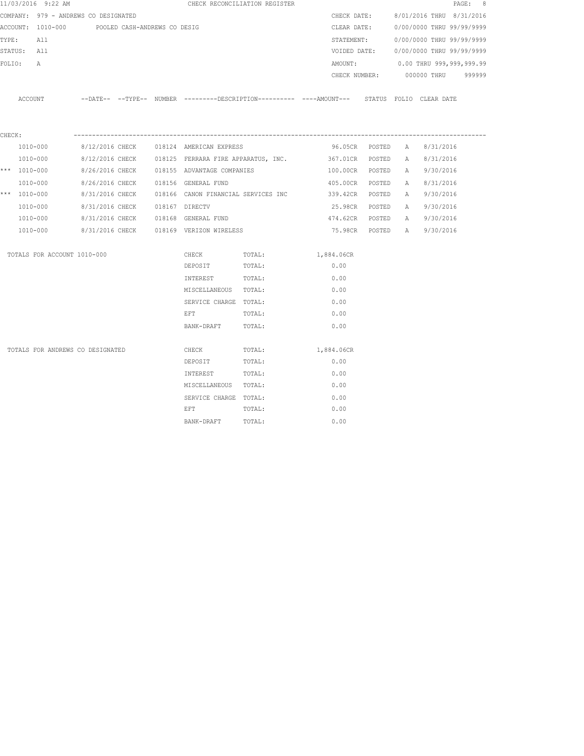|        | 11/03/2016 9:22 AM                             |                                |  |                                                     | CHECK RECONCILIATION REGISTER |                                                                                              |        |   |                                      | PAGE: 8 |
|--------|------------------------------------------------|--------------------------------|--|-----------------------------------------------------|-------------------------------|----------------------------------------------------------------------------------------------|--------|---|--------------------------------------|---------|
|        | COMPANY: 979 - ANDREWS CO DESIGNATED           |                                |  |                                                     |                               |                                                                                              |        |   | CHECK DATE: 8/01/2016 THRU 8/31/2016 |         |
|        | ACCOUNT: 1010-000 POOLED CASH-ANDREWS CO DESIG |                                |  |                                                     |                               | CLEAR DATE:                                                                                  |        |   | 0/00/0000 THRU 99/99/9999            |         |
| TYPE:  | All                                            |                                |  |                                                     |                               | STATEMENT:                                                                                   |        |   | 0/00/0000 THRU 99/99/9999            |         |
|        | STATUS: All                                    |                                |  |                                                     |                               | VOIDED DATE:                                                                                 |        |   | 0/00/0000 THRU 99/99/9999            |         |
| FOLIO: | Α                                              |                                |  |                                                     |                               | AMOUNT:                                                                                      |        |   | 0.00 THRU 999,999,999.99             |         |
|        |                                                |                                |  |                                                     |                               |                                                                                              |        |   | CHECK NUMBER: 000000 THRU            | 999999  |
|        | ACCOUNT                                        |                                |  |                                                     |                               | --DATE-- --TYPE-- NUMBER --------DESCRIPTION---------- ----AMOUNT--- STATUS FOLIO CLEAR-DATE |        |   |                                      |         |
| CHECK: |                                                |                                |  |                                                     |                               |                                                                                              |        |   |                                      |         |
|        | 1010-000                                       | 8/12/2016 CHECK                |  | 018124 AMERICAN EXPRESS                             |                               | 96.05CR POSTED                                                                               |        | A | 8/31/2016                            |         |
|        | 1010-000                                       |                                |  | 8/12/2016 CHECK 018125 FERRARA FIRE APPARATUS, INC. |                               | 367.01CR POSTED                                                                              |        |   | A 8/31/2016                          |         |
|        | *** $1010 - 000$                               |                                |  | 8/26/2016 CHECK 018155 ADVANTAGE COMPANIES          |                               | 100.00CR POSTED                                                                              |        |   | A 9/30/2016                          |         |
|        | 1010-000                                       | 8/26/2016 CHECK                |  | 018156 GENERAL FUND                                 |                               | 405.00CR                                                                                     | POSTED | A | 8/31/2016                            |         |
|        | *** 1010-000                                   |                                |  |                                                     |                               | 8/31/2016 CHECK 018166 CANON FINANCIAL SERVICES INC 339.42CR POSTED                          |        |   | A 9/30/2016                          |         |
|        | 1010-000                                       | 8/31/2016 CHECK 018167 DIRECTV |  |                                                     |                               | 25.98CR POSTED                                                                               |        | A | 9/30/2016                            |         |
|        | 1010-000                                       |                                |  | 8/31/2016 CHECK 018168 GENERAL FUND                 |                               | 474.62CR POSTED                                                                              |        | A | 9/30/2016                            |         |
|        | 1010-000                                       |                                |  | 8/31/2016 CHECK 018169 VERIZON WIRELESS             |                               | 75.98CR POSTED A                                                                             |        |   | 9/30/2016                            |         |
|        | TOTALS FOR ACCOUNT 1010-000                    |                                |  | CHECK                                               | TOTAL:                        | 1,884.06CR                                                                                   |        |   |                                      |         |
|        |                                                |                                |  | DEPOSIT                                             | TOTAL:                        | 0.00                                                                                         |        |   |                                      |         |
|        |                                                |                                |  | INTEREST                                            | TOTAL:                        | 0.00                                                                                         |        |   |                                      |         |
|        |                                                |                                |  | MISCELLANEOUS TOTAL:                                |                               | 0.00                                                                                         |        |   |                                      |         |
|        |                                                |                                |  | SERVICE CHARGE TOTAL:                               |                               | 0.00                                                                                         |        |   |                                      |         |
|        |                                                |                                |  | EFT                                                 | TOTAL:                        | 0.00                                                                                         |        |   |                                      |         |
|        |                                                |                                |  | BANK-DRAFT                                          | TOTAL:                        | 0.00                                                                                         |        |   |                                      |         |
|        | TOTALS FOR ANDREWS CO DESIGNATED               |                                |  | CHECK                                               | TOTAL:                        | 1,884.06CR                                                                                   |        |   |                                      |         |
|        |                                                |                                |  | DEPOSIT                                             | TOTAL:                        | 0.00                                                                                         |        |   |                                      |         |
|        |                                                |                                |  | INTEREST                                            | TOTAL:                        | 0.00                                                                                         |        |   |                                      |         |
|        |                                                |                                |  | MISCELLANEOUS TOTAL:                                |                               | 0.00                                                                                         |        |   |                                      |         |
|        |                                                |                                |  | SERVICE CHARGE TOTAL:                               |                               | 0.00                                                                                         |        |   |                                      |         |
|        |                                                |                                |  | EFT                                                 | TOTAL:                        | 0.00                                                                                         |        |   |                                      |         |
|        |                                                |                                |  | BANK-DRAFT                                          | TOTAL:                        | 0.00                                                                                         |        |   |                                      |         |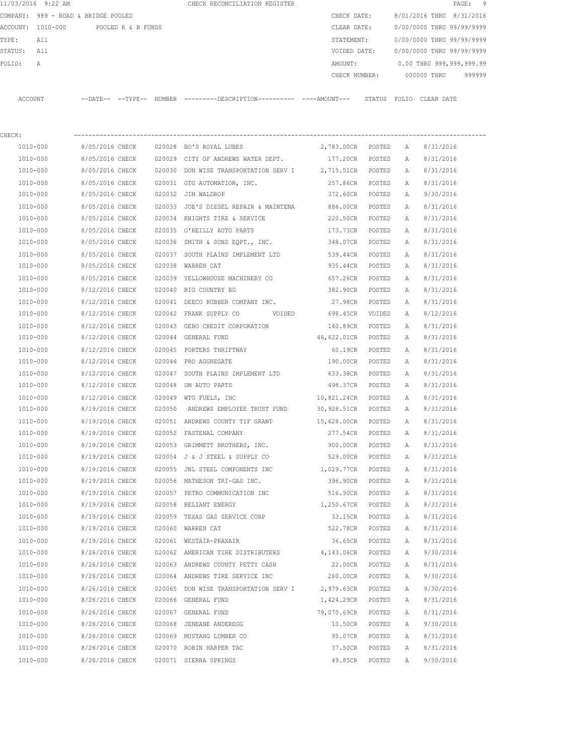|                   | 11/03/2016 9:22 AM                  |                   |                    |        | CHECK RECONCILIATION REGISTER                |               |                           |            | PAGE: 9 |  |
|-------------------|-------------------------------------|-------------------|--------------------|--------|----------------------------------------------|---------------|---------------------------|------------|---------|--|
|                   | COMPANY: 989 - ROAD & BRIDGE POOLED |                   |                    |        |                                              | CHECK DATE:   | 8/01/2016 THRU 8/31/2016  |            |         |  |
| ACCOUNT: 1010-000 |                                     |                   | POOLED R & B FUNDS |        |                                              | CLEAR DATE:   | 0/00/0000 THRU 99/99/9999 |            |         |  |
| TYPE:             | All                                 |                   |                    |        |                                              | STATEMENT:    | 0/00/0000 THRU 99/99/9999 |            |         |  |
| STATUS:           | All                                 |                   |                    |        |                                              | VOIDED DATE:  | 0/00/0000 THRU 99/99/9999 |            |         |  |
| FOLIO:            | Α                                   |                   |                    |        |                                              | AMOUNT:       | 0.00 THRU 999,999,999.99  |            |         |  |
|                   |                                     |                   |                    |        |                                              | CHECK NUMBER: | 000000 THRU               |            | 999999  |  |
|                   |                                     |                   |                    |        |                                              |               |                           |            |         |  |
| ACCOUNT           |                                     | --DATE-- --TYPE-- |                    | NUMBER | ---------DESCRIPTION---------- ----AMOUNT--- | STATUS        | FOLTO                     | CLEAR DATE |         |  |

| CHECK:       |                 |        |                                                         |                   |        |   |                    |
|--------------|-----------------|--------|---------------------------------------------------------|-------------------|--------|---|--------------------|
| 1010-000     | 8/05/2016 CHECK |        | 020028 BO'S ROYAL LUBES                                 | 2,783.00CR POSTED |        | A | 8/31/2016          |
| 1010-000     | 8/05/2016 CHECK |        | 020029 CITY OF ANDREWS WATER DEPT.                      | 177.20CR          | POSTED | A | 8/31/2016          |
| 1010-000     | 8/05/2016 CHECK |        | 020030 DON WISE TRANSPORTATION SERV I 2,715.51CR POSTED |                   |        | A | 8/31/2016          |
| 1010-000     | 8/05/2016 CHECK |        | 020031 GTG AUTOMATION, INC.                             | 257.86CR          | POSTED | A | 8/31/2016          |
| 1010-000     | 8/05/2016 CHECK |        | 020032 JIM WALDROP                                      | 372.60CR          | POSTED | Α | 9/30/2016          |
| 1010-000     | 8/05/2016 CHECK |        | 020033 JOE'S DIESEL REPAIR & MAINTENA 886.00CR          |                   | POSTED | А | 8/31/2016          |
| 1010-000     | 8/05/2016 CHECK |        | 020034 KNIGHTS TIRE & SERVICE                           | 220.50CR          | POSTED | Α | 8/31/2016          |
| 1010-000     | 8/05/2016 CHECK |        | 020035 O'REILLY AUTO PARTS                              | 173.73CR          | POSTED | А | 8/31/2016          |
| 1010-000     | 8/05/2016 CHECK |        | 020036 SMITH & SONS EQPT., INC. 348.07CR                |                   | POSTED | Α | 8/31/2016          |
| 1010-000     | 8/05/2016 CHECK |        | 020037 SOUTH PLAINS IMPLEMENT LTD 539.44CR              |                   | POSTED | Α | 8/31/2016          |
| 1010-000     | 8/05/2016 CHECK |        | 020038 WARREN CAT                                       | 935.44CR          | POSTED | Α | 8/31/2016          |
| 1010-000     | 8/05/2016 CHECK | 020039 | YELLOWHOUSE MACHINERY CO 657.26CR                       |                   | POSTED | Α | 8/31/2016          |
| 1010-000     | 8/12/2016 CHECK |        | 020040 BIG COUNTRY BG                                   | 382.90CR          | POSTED | Α | 8/31/2016          |
| 1010-000     | 8/12/2016 CHECK |        | 020041 DEECO RUBBER COMPANY INC.                        | 27.98CR           | POSTED | Α | 8/31/2016          |
| 1010-000     | 8/12/2016 CHECK |        | 020042 FRANK SUPPLY CO<br>VOIDED                        | 698.45CR          | VOIDED | Α | 8/12/2016          |
| 1010-000     | 8/12/2016 CHECK |        | 020043 GEBO CREDIT CORPORATION                          | 140.89CR          | POSTED | A | 8/31/2016          |
| 1010-000     | 8/12/2016 CHECK |        | 020044 GENERAL FUND                                     | 46,622.01CR       | POSTED | Α | 8/31/2016          |
| 1010-000     | 8/12/2016 CHECK |        | 020045 PORTERS THRIFTWAY                                | 60.19CR           | POSTED | Α | 8/31/2016          |
| 1010-000     | 8/12/2016 CHECK |        | 020046 PRO AGGREGATE                                    | 190.00CR          | POSTED | А | 8/31/2016          |
| 1010-000     | 8/12/2016 CHECK |        | 020047 SOUTH PLAINS IMPLEMENT LTD 633.38CR              |                   | POSTED | A | 8/31/2016          |
| 1010-000     | 8/12/2016 CHECK | 020048 | UM AUTO PARTS                                           | 498.37CR          | POSTED | A | 8/31/2016          |
| 1010-000     | 8/12/2016 CHECK |        | 020049 WTG FUELS, INC                                   | 10,821.24CR       | POSTED | Α | 8/31/2016          |
| 1010-000     | 8/19/2016 CHECK | 020050 | ANDREWS EMPLOYEE TRUST FUND 30,928.51CR                 |                   | POSTED | Α | 8/31/2016          |
| 1010-000     | 8/19/2016 CHECK |        | 020051 ANDREWS COUNTY TIF GRANT 15,628.00CR             |                   | POSTED | Α | 8/31/2016          |
| 1010-000     | 8/19/2016 CHECK |        | 020052 FASTENAL COMPANY                                 | 277.54CR          | POSTED | Α | 8/31/2016          |
| 1010-000     | 8/19/2016 CHECK |        | 020053 GRIMMETT BROTHERS, INC.                          | 900.00CR          | POSTED | Α | 8/31/2016          |
| 1010-000     | 8/19/2016 CHECK |        | 020054 J & J STEEL & SUPPLY CO                          | 529.00CR          | POSTED | A | 8/31/2016          |
| 1010-000     | 8/19/2016 CHECK |        | 020055 JNL STEEL COMPONENTS INC                         | 1,029.77CR        | POSTED | А | 8/31/2016          |
| 1010-000     | 8/19/2016 CHECK |        | 020056 MATHESON TRI-GAS INC.                            | 396.90CR          | POSTED | А | 8/31/2016          |
| 1010-000     | 8/19/2016 CHECK |        | 020057 PETRO COMMUNICATION INC                          | 516.90CR          | POSTED | Α | 8/31/2016          |
| 1010-000     | 8/19/2016 CHECK |        | 020058 RELIANT ENERGY                                   | 1,250.67CR        | POSTED | Α | 8/31/2016          |
| 1010-000     | 8/19/2016 CHECK | 020059 | TEXAS GAS SERVICE CORP 33.15CR                          |                   | POSTED | Α | 8/31/2016          |
| 1010-000     | 8/19/2016 CHECK |        | 020060 WARREN CAT                                       | 522.78CR          | POSTED | A | 8/31/2016          |
| 1010-000     | 8/19/2016 CHECK |        | 020061 WESTAIR-PRAXAIR                                  | 36.65CR           | POSTED | Α | 8/31/2016          |
| 1010-000     | 8/26/2016 CHECK |        | 020062 AMERICAN TIRE DISTRIBUTERS 4,143.06CR            |                   |        |   | POSTED A 9/30/2016 |
| 1010-000     | 8/26/2016 CHECK |        | 020063 ANDREWS COUNTY PETTY CASH                        | 22.00CR           | POSTED | А | 8/31/2016          |
| 1010-000     | 8/26/2016 CHECK |        | 020064 ANDREWS TIRE SERVICE INC                         | 260.00CR          | POSTED | Α | 9/30/2016          |
| 1010-000     | 8/26/2016 CHECK | 020065 | DON WISE TRANSPORTATION SERV I                          | 2,979.63CR        | POSTED | Α | 9/30/2016          |
| 1010-000     | 8/26/2016 CHECK |        | 020066 GENERAL FUND                                     | 1,424.29CR        | POSTED | А | 8/31/2016          |
| 1010-000     | 8/26/2016 CHECK |        | 020067 GENERAL FUND                                     | 79,070.69CR       | POSTED | Α | 8/31/2016          |
| 1010-000     | 8/26/2016 CHECK | 020068 | JENEANE ANDEREGG                                        | 10.50CR           | POSTED | Α | 9/30/2016          |
| 1010-000     | 8/26/2016 CHECK | 020069 | MUSTANG LUMBER CO                                       | 95.07CR           | POSTED | Α | 8/31/2016          |
| 1010-000     | 8/26/2016 CHECK |        | 020070 ROBIN HARPER TAC                                 | 37.50CR           | POSTED | Α | 8/31/2016          |
| $1010 - 000$ | 8/26/2016 CHECK |        | 020071 SIERRA SPRINGS                                   | 49.85CR           | POSTED | Α | 9/30/2016          |
|              |                 |        |                                                         |                   |        |   |                    |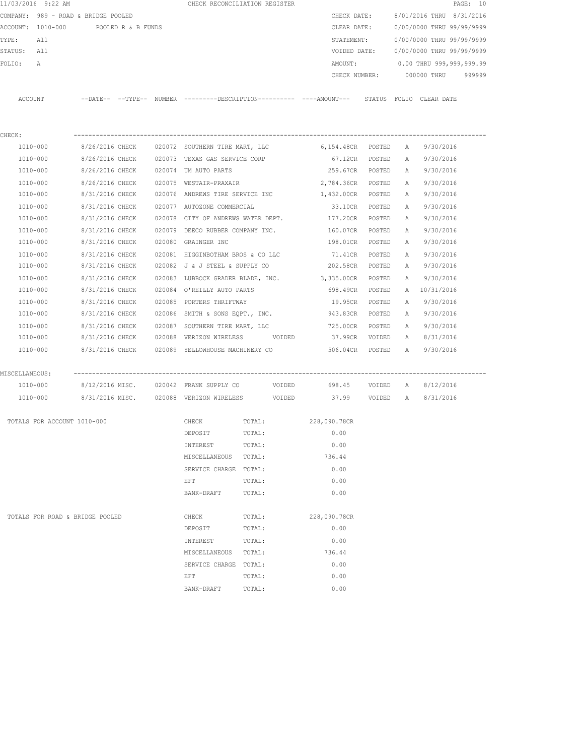|                                                                             | 11/03/2016 9:22 AM              |                 |  |  | CHECK RECONCILIATION REGISTER                               |        |                                                                                             |        |                                      |                                        | PAGE: 10 |
|-----------------------------------------------------------------------------|---------------------------------|-----------------|--|--|-------------------------------------------------------------|--------|---------------------------------------------------------------------------------------------|--------|--------------------------------------|----------------------------------------|----------|
| COMPANY: 989 - ROAD & BRIDGE POOLED<br>ACCOUNT: 1010-000 POOLED R & B FUNDS |                                 |                 |  |  |                                                             |        |                                                                                             |        | CHECK DATE: 8/01/2016 THRU 8/31/2016 |                                        |          |
|                                                                             |                                 |                 |  |  |                                                             |        | CLEAR DATE:                                                                                 |        |                                      | 0/00/0000 THRU 99/99/9999              |          |
| TYPE:                                                                       | All                             |                 |  |  |                                                             |        | STATEMENT:                                                                                  |        |                                      | 0/00/0000 THRU 99/99/9999              |          |
| STATUS: All                                                                 |                                 |                 |  |  |                                                             |        |                                                                                             |        |                                      | VOIDED DATE: 0/00/0000 THRU 99/99/9999 |          |
| FOLIO:                                                                      | A                               |                 |  |  |                                                             |        |                                                                                             |        |                                      | AMOUNT: 0.00 THRU 999,999,999.99       |          |
|                                                                             |                                 |                 |  |  |                                                             |        |                                                                                             |        |                                      | CHECK NUMBER: 000000 THRU 999999       |          |
|                                                                             |                                 |                 |  |  |                                                             |        |                                                                                             |        |                                      |                                        |          |
|                                                                             | ACCOUNT                         |                 |  |  |                                                             |        | --DATE-- --TYPE-- NUMBER ---------DESCRIPTION--------- ----AMOUNT--- STATUS FOLIO CLEARDATE |        |                                      |                                        |          |
|                                                                             |                                 |                 |  |  |                                                             |        |                                                                                             |        |                                      |                                        |          |
|                                                                             |                                 |                 |  |  |                                                             |        |                                                                                             |        |                                      |                                        |          |
| CHECK:                                                                      | 1010-000                        |                 |  |  |                                                             |        | 6,154.48CR POSTED A                                                                         |        |                                      |                                        |          |
|                                                                             |                                 |                 |  |  | 8/26/2016 CHECK 020072 SOUTHERN TIRE MART, LLC              |        |                                                                                             |        |                                      | 9/30/2016                              |          |
|                                                                             | 1010-000                        |                 |  |  | 8/26/2016 CHECK 020073 TEXAS GAS SERVICE CORP               |        | 67.12CR POSTED                                                                              |        | A                                    | 9/30/2016                              |          |
|                                                                             | 1010-000                        |                 |  |  | 8/26/2016 CHECK 020074 UM AUTO PARTS                        |        | 259.67CR POSTED                                                                             |        |                                      | A 9/30/2016                            |          |
|                                                                             | 1010-000                        |                 |  |  |                                                             |        | 8/26/2016 CHECK 020075 WESTAIR-PRAXAIR 2,784.36CR POSTED                                    |        | A                                    | 9/30/2016                              |          |
|                                                                             | 1010-000                        |                 |  |  |                                                             |        | 8/31/2016 CHECK 020076 ANDREWS TIRE SERVICE INC 1,432.00CR POSTED                           |        | A                                    | 9/30/2016                              |          |
|                                                                             | 1010-000                        |                 |  |  | 8/31/2016 CHECK 020077 AUTOZONE COMMERCIAL                  |        | 33.10CR                                                                                     | POSTED | A                                    | 9/30/2016                              |          |
|                                                                             | 1010-000                        | 8/31/2016 CHECK |  |  |                                                             |        | 020078 CITY OF ANDREWS WATER DEPT. 177.20CR                                                 | POSTED | А                                    | 9/30/2016                              |          |
|                                                                             | 1010-000                        | 8/31/2016 CHECK |  |  | 020079 DEECO RUBBER COMPANY INC.                            |        | 160.07CR                                                                                    | POSTED | A                                    | 9/30/2016                              |          |
|                                                                             | 1010-000                        | 8/31/2016 CHECK |  |  | 020080 GRAINGER INC                                         |        | 198.01CR                                                                                    | POSTED | A                                    | 9/30/2016                              |          |
|                                                                             | 1010-000                        | 8/31/2016 CHECK |  |  | 020081 HIGGINBOTHAM BROS & CO LLC                           |        | 71.41CR                                                                                     | POSTED | A                                    | 9/30/2016                              |          |
|                                                                             | 1010-000                        | 8/31/2016 CHECK |  |  | 020082 J & J STEEL & SUPPLY CO                              |        | 202.58CR                                                                                    | POSTED | A                                    | 9/30/2016                              |          |
|                                                                             | 1010-000                        | 8/31/2016 CHECK |  |  |                                                             |        | 020083 LUBBOCK GRADER BLADE, INC. 3,335.00CR                                                | POSTED | A                                    | 9/30/2016                              |          |
|                                                                             | 1010-000                        | 8/31/2016 CHECK |  |  | 020084 O'REILLY AUTO PARTS                                  |        | 698.49CR                                                                                    | POSTED |                                      | A 10/31/2016                           |          |
|                                                                             | 1010-000                        | 8/31/2016 CHECK |  |  | 020085 PORTERS THRIFTWAY                                    |        | 19.95CR                                                                                     | POSTED | A                                    | 9/30/2016                              |          |
|                                                                             | 1010-000                        |                 |  |  |                                                             |        | 8/31/2016 CHECK 020086 SMITH & SONS EQPT., INC. 943.83CR POSTED                             |        |                                      | A 9/30/2016                            |          |
|                                                                             | 1010-000                        |                 |  |  |                                                             |        |                                                                                             |        |                                      | A 9/30/2016                            |          |
|                                                                             | 1010-000                        |                 |  |  |                                                             |        | 8/31/2016 CHECK 020088 VERIZON WIRELESS VOIDED 37.99CR VOIDED                               |        |                                      | A 8/31/2016                            |          |
|                                                                             | 1010-000                        |                 |  |  |                                                             |        | 8/31/2016 CHECK 020089 YELLOWHOUSE MACHINERY CO 6 606.04CR POSTED A 9/30/2016               |        |                                      |                                        |          |
| MISCELLANEOUS:                                                              |                                 |                 |  |  |                                                             |        |                                                                                             |        |                                      |                                        |          |
|                                                                             | 1010-000                        |                 |  |  | 8/12/2016 MISC.     020042 FRANK SUPPLY CO           VOIDED |        |                                                                                             |        |                                      | 698.45 VOIDED A 8/12/2016              |          |
|                                                                             | 1010-000                        |                 |  |  | 8/31/2016 MISC. 020088 VERIZON WIRELESS VOIDED              |        |                                                                                             |        |                                      | 37.99 VOIDED A 8/31/2016               |          |
|                                                                             |                                 |                 |  |  |                                                             |        |                                                                                             |        |                                      |                                        |          |
|                                                                             | TOTALS FOR ACCOUNT 1010-000     |                 |  |  | CHECK                                                       | TOTAL: | 228,090.78CR                                                                                |        |                                      |                                        |          |
|                                                                             |                                 |                 |  |  | DEPOSIT                                                     | TOTAL: | 0.00                                                                                        |        |                                      |                                        |          |
|                                                                             |                                 |                 |  |  | INTEREST                                                    | TOTAL: | 0.00                                                                                        |        |                                      |                                        |          |
|                                                                             |                                 |                 |  |  | MISCELLANEOUS                                               | TOTAL: | 736.44                                                                                      |        |                                      |                                        |          |
|                                                                             |                                 |                 |  |  | SERVICE CHARGE TOTAL:                                       |        | 0.00                                                                                        |        |                                      |                                        |          |
|                                                                             |                                 |                 |  |  | EFT                                                         | TOTAL: | 0.00                                                                                        |        |                                      |                                        |          |
|                                                                             |                                 |                 |  |  | BANK-DRAFT                                                  | TOTAL: | 0.00                                                                                        |        |                                      |                                        |          |
|                                                                             |                                 |                 |  |  |                                                             |        |                                                                                             |        |                                      |                                        |          |
|                                                                             | TOTALS FOR ROAD & BRIDGE POOLED |                 |  |  | CHECK                                                       | TOTAL: | 228,090.78CR                                                                                |        |                                      |                                        |          |
|                                                                             |                                 |                 |  |  | DEPOSIT                                                     | TOTAL: | 0.00                                                                                        |        |                                      |                                        |          |
|                                                                             |                                 |                 |  |  | INTEREST                                                    | TOTAL: | 0.00                                                                                        |        |                                      |                                        |          |
|                                                                             |                                 |                 |  |  | MISCELLANEOUS                                               | TOTAL: | 736.44                                                                                      |        |                                      |                                        |          |
|                                                                             |                                 |                 |  |  | SERVICE CHARGE TOTAL:                                       |        | 0.00                                                                                        |        |                                      |                                        |          |
|                                                                             |                                 |                 |  |  | EFT                                                         | TOTAL: | 0.00                                                                                        |        |                                      |                                        |          |
|                                                                             |                                 |                 |  |  | BANK-DRAFT                                                  | TOTAL: | 0.00                                                                                        |        |                                      |                                        |          |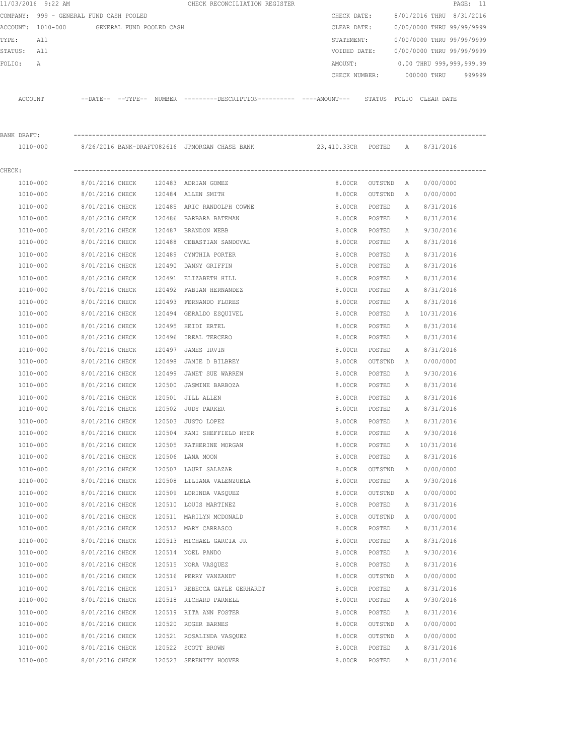|             | 11/03/2016 9:22 AM                      |                                    |                          |        | CHECK RECONCILIATION REGISTER                                                                |                  |                           |              |                           | PAGE: 11 |
|-------------|-----------------------------------------|------------------------------------|--------------------------|--------|----------------------------------------------------------------------------------------------|------------------|---------------------------|--------------|---------------------------|----------|
|             | COMPANY: 999 - GENERAL FUND CASH POOLED |                                    |                          |        |                                                                                              | CHECK DATE:      |                           |              | 8/01/2016 THRU 8/31/2016  |          |
|             | ACCOUNT: 1010-000                       |                                    | GENERAL FUND POOLED CASH |        |                                                                                              | CLEAR DATE:      |                           |              | 0/00/0000 THRU 99/99/9999 |          |
| TYPE:       | All                                     |                                    |                          |        |                                                                                              | STATEMENT:       |                           |              | 0/00/0000 THRU 99/99/9999 |          |
| STATUS: All |                                         |                                    |                          |        |                                                                                              | VOIDED DATE:     |                           |              | 0/00/0000 THRU 99/99/9999 |          |
| FOLIO:      | Α                                       |                                    |                          |        |                                                                                              | AMOUNT:          |                           |              | 0.00 THRU 999,999,999.99  |          |
|             |                                         |                                    |                          |        |                                                                                              | CHECK NUMBER:    |                           |              | 000000 THRU               | 999999   |
|             | ACCOUNT                                 |                                    |                          |        | --DATE-- --TYPE-- NUMBER ---------DESCRIPTION---------- ----AMOUNT--- STATUS FOLIO CLEARDATE |                  |                           |              |                           |          |
| BANK DRAFT: |                                         |                                    |                          |        |                                                                                              |                  |                           |              |                           |          |
|             | 1010-000                                |                                    |                          |        |                                                                                              |                  |                           |              |                           |          |
| CHECK:      |                                         |                                    |                          |        |                                                                                              |                  |                           |              |                           |          |
|             | 1010-000                                | 8/01/2016 CHECK                    |                          |        | 120483 ADRIAN GOMEZ                                                                          |                  |                           |              | 0/00/0000                 |          |
|             | 1010-000                                | 8/01/2016 CHECK                    |                          |        | 120484 ALLEN SMITH                                                                           | 8.00CR           | 8.00CR OUTSTND<br>OUTSTND | A<br>A       | 0/00/0000                 |          |
|             | 1010-000                                | 8/01/2016 CHECK                    |                          |        | 120485 ARIC RANDOLPH COWNE                                                                   | 8.00CR           | POSTED                    |              | 8/31/2016                 |          |
|             | 1010-000                                | 8/01/2016 CHECK                    |                          |        | 120486 BARBARA BATEMAN                                                                       | 8.00CR           | POSTED                    | A<br>A       | 8/31/2016                 |          |
|             | 1010-000                                | 8/01/2016 CHECK                    |                          |        | 120487 BRANDON WEBB                                                                          | 8.00CR           | POSTED                    | Α            | 9/30/2016                 |          |
|             | 1010-000                                | 8/01/2016 CHECK                    |                          |        | 120488 CEBASTIAN SANDOVAL                                                                    | 8.00CR           | POSTED                    | Α            | 8/31/2016                 |          |
|             | 1010-000                                | 8/01/2016 CHECK                    |                          | 120489 | CYNTHIA PORTER                                                                               |                  | POSTED                    |              |                           |          |
|             | 1010-000                                | 8/01/2016 CHECK                    |                          |        | 120490 DANNY GRIFFIN                                                                         | 8.00CR<br>8.00CR | POSTED                    | Α<br>Α       | 8/31/2016<br>8/31/2016    |          |
|             | 1010-000                                | 8/01/2016 CHECK                    |                          |        | 120491 ELIZABETH HILL                                                                        | 8.00CR           | POSTED                    |              | 8/31/2016                 |          |
|             | 1010-000                                | 8/01/2016 CHECK                    |                          |        | 120492 FABIAN HERNANDEZ                                                                      | 8.00CR           | POSTED                    | Α<br>Α       | 8/31/2016                 |          |
|             | 1010-000                                | 8/01/2016 CHECK                    |                          |        | 120493 FERNANDO FLORES                                                                       | 8.00CR           | POSTED                    | А            | 8/31/2016                 |          |
|             | 1010-000                                | 8/01/2016 CHECK                    |                          |        | 120494 GERALDO ESQUIVEL                                                                      | 8.00CR           | POSTED                    | Α            | 10/31/2016                |          |
|             | 1010-000                                | 8/01/2016 CHECK                    |                          |        |                                                                                              | 8.00CR           |                           |              |                           |          |
|             | 1010-000                                | 8/01/2016 CHECK                    |                          |        | 120495 HEIDI ERTEL<br>120496 IREAL TERCERO                                                   | 8.00CR           | POSTED                    | Α            | 8/31/2016<br>8/31/2016    |          |
|             |                                         |                                    |                          |        |                                                                                              |                  | POSTED                    | А            |                           |          |
|             | 1010-000<br>1010-000                    | 8/01/2016 CHECK<br>8/01/2016 CHECK |                          | 120498 | 120497 JAMES IRVIN                                                                           | 8.00CR           | POSTED                    | Α            | 8/31/2016<br>0/00/0000    |          |
|             |                                         |                                    |                          | 120499 | JAMIE D BILBREY<br>JANET SUE WARREN                                                          | 8.00CR<br>8.00CR | OUTSTND                   | A            |                           |          |
|             | 1010-000<br>1010-000                    | 8/01/2016 CHECK<br>8/01/2016 CHECK |                          | 120500 | JASMINE BARBOZA                                                                              | 8.00CR           | POSTED<br>POSTED          | А<br>Α       | 9/30/2016<br>8/31/2016    |          |
|             |                                         |                                    |                          |        |                                                                                              |                  |                           |              |                           |          |
|             | 1010-000                                | 8/01/2016 CHECK                    |                          |        | 120501 JILL ALLEN                                                                            | 8.00CR           | POSTED                    | Α            | 8/31/2016<br>8/31/2016    |          |
|             | 1010-000                                | 8/01/2016 CHECK                    |                          |        | 120502 JUDY PARKER                                                                           | 8.00CR           | POSTED                    | Α            |                           |          |
|             | 1010-000                                | 8/01/2016 CHECK                    |                          |        | 120503 JUSTO LOPEZ                                                                           | 8.00CR           | POSTED                    | $\mathbb{A}$ | 8/31/2016                 |          |
|             | 1010-000                                | 8/01/2016 CHECK                    |                          |        | 120504 KAMI SHEFFIELD HYER                                                                   | 8.00CR           | POSTED                    | Α            | 9/30/2016                 |          |
|             | 1010-000                                | 8/01/2016 CHECK                    |                          |        | 120505 KATHERINE MORGAN                                                                      | 8.00CR           | POSTED                    | Α            | 10/31/2016                |          |
|             | 1010-000                                | 8/01/2016 CHECK                    |                          |        | 120506 LANA MOON                                                                             | 8.00CR           | POSTED                    | Α            | 8/31/2016                 |          |
|             | 1010-000                                | 8/01/2016 CHECK                    |                          |        | 120507 LAURI SALAZAR                                                                         | 8.00CR           | OUTSTND                   | А            | 0/00/0000                 |          |
|             | 1010-000                                | 8/01/2016 CHECK                    |                          |        | 120508 LILIANA VALENZUELA                                                                    | 8.00CR           | POSTED                    | Α            | 9/30/2016                 |          |
|             | 1010-000                                | 8/01/2016 CHECK                    |                          |        | 120509 LORINDA VASQUEZ                                                                       | 8.00CR           | OUTSTND                   | A            | 0/00/0000                 |          |
|             | 1010-000                                | 8/01/2016 CHECK                    |                          |        | 120510 LOUIS MARTINEZ                                                                        | 8.00CR           | POSTED                    | Α            | 8/31/2016                 |          |
|             | 1010-000                                | 8/01/2016 CHECK                    |                          |        | 120511 MARILYN MCDONALD                                                                      | 8.00CR           | OUTSTND                   | A            | 0/00/0000                 |          |
|             | 1010-000                                | 8/01/2016 CHECK                    |                          |        | 120512 MARY CARRASCO                                                                         | 8.00CR           | POSTED                    | Α            | 8/31/2016                 |          |
|             | 1010-000                                | 8/01/2016 CHECK                    |                          |        | 120513 MICHAEL GARCIA JR                                                                     | 8.00CR           | POSTED                    | Α            | 8/31/2016                 |          |
|             | 1010-000                                | 8/01/2016 CHECK                    |                          |        | 120514 NOEL PANDO                                                                            | 8.00CR           | POSTED                    | Α            | 9/30/2016                 |          |
|             | 1010-000                                | 8/01/2016 CHECK                    |                          |        | 120515 NORA VASQUEZ                                                                          | 8.00CR           | POSTED                    | Α            | 8/31/2016                 |          |
|             | 1010-000                                | 8/01/2016 CHECK                    |                          |        | 120516 PERRY VANZANDT                                                                        | 8.00CR           | OUTSTND                   | Α            | 0/00/0000                 |          |
|             | 1010-000                                | 8/01/2016 CHECK                    |                          |        | 120517 REBECCA GAYLE GERHARDT                                                                | 8.00CR           | POSTED                    | Α            | 8/31/2016                 |          |
|             | 1010-000                                | 8/01/2016 CHECK                    |                          |        | 120518 RICHARD PARNELL                                                                       | 8.00CR           | POSTED                    | Α            | 9/30/2016                 |          |
|             | 1010-000                                | 8/01/2016 CHECK                    |                          |        | 120519 RITA ANN FOSTER                                                                       | 8.00CR           | POSTED                    | Α            | 8/31/2016                 |          |
|             | 1010-000                                | 8/01/2016 CHECK                    |                          |        | 120520 ROGER BARNES                                                                          | 8.00CR           | OUTSTND                   | Α            | 0/00/0000                 |          |
|             | 1010-000                                | 8/01/2016 CHECK                    |                          |        | 120521 ROSALINDA VASQUEZ                                                                     | 8.00CR           | OUTSTND                   | Α            | 0/00/0000                 |          |
|             | 1010-000                                | 8/01/2016 CHECK                    |                          |        | 120522 SCOTT BROWN                                                                           | 8.00CR           | POSTED                    | Α            | 8/31/2016                 |          |
|             | 1010-000                                | 8/01/2016 CHECK                    |                          |        | 120523 SERENITY HOOVER                                                                       | 8.00CR           | POSTED                    | Α            | 8/31/2016                 |          |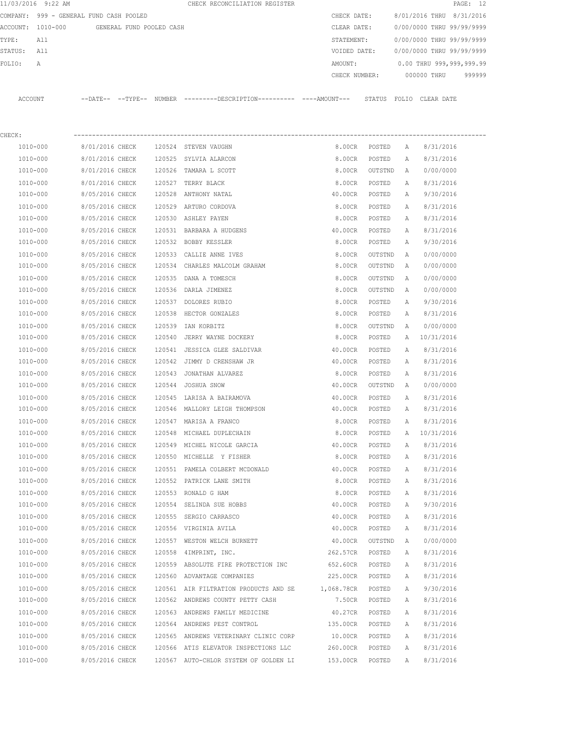|         | 11/03/2016 9:22 AM                      |                 |                          |        | CHECK RECONCILIATION REGISTER                                                              |            |               |                 |              |                           | PAGE: 12 |
|---------|-----------------------------------------|-----------------|--------------------------|--------|--------------------------------------------------------------------------------------------|------------|---------------|-----------------|--------------|---------------------------|----------|
|         | COMPANY: 999 - GENERAL FUND CASH POOLED |                 |                          |        |                                                                                            |            | CHECK DATE:   |                 |              | 8/01/2016 THRU 8/31/2016  |          |
|         | ACCOUNT: 1010-000                       |                 | GENERAL FUND POOLED CASH |        |                                                                                            |            | CLEAR DATE:   |                 |              | 0/00/0000 THRU 99/99/9999 |          |
| TYPE:   | All                                     |                 |                          |        |                                                                                            |            | STATEMENT:    |                 |              | 0/00/0000 THRU 99/99/9999 |          |
| STATUS: | All                                     |                 |                          |        |                                                                                            |            | VOIDED DATE:  |                 |              | 0/00/0000 THRU 99/99/9999 |          |
| FOLIO:  | Α                                       |                 |                          |        |                                                                                            |            | AMOUNT:       |                 |              | 0.00 THRU 999,999,999.99  |          |
|         |                                         |                 |                          |        |                                                                                            |            | CHECK NUMBER: |                 |              | 000000 THRU               | 999999   |
|         | ACCOUNT                                 |                 |                          |        | --DATE-- --TYPE-- NUMBER --------DESCRIPTION---------- ---AMOUNT--- STATUS FOLIO CLEARDATE |            |               |                 |              |                           |          |
| CHECK:  |                                         |                 |                          |        |                                                                                            |            |               |                 |              |                           |          |
|         | 1010-000                                | 8/01/2016 CHECK |                          |        | 120524 STEVEN VAUGHN                                                                       |            | 8.00CR        | POSTED          | A            | 8/31/2016                 |          |
|         | 1010-000                                | 8/01/2016 CHECK |                          |        | 120525 SYLVIA ALARCON                                                                      |            | 8.00CR        | POSTED          | A            | 8/31/2016                 |          |
|         | 1010-000                                | 8/01/2016 CHECK |                          |        | 120526 TAMARA L SCOTT                                                                      |            | 8.00CR        | OUTSTND         | A            | 0/00/0000                 |          |
|         | 1010-000                                | 8/01/2016 CHECK |                          |        | 120527 TERRY BLACK                                                                         |            | 8.00CR        | POSTED          | A            | 8/31/2016                 |          |
|         | 1010-000                                | 8/05/2016 CHECK |                          |        | 120528 ANTHONY NATAL                                                                       |            | 40.00CR       | POSTED          | A            | 9/30/2016                 |          |
|         | 1010-000                                | 8/05/2016 CHECK |                          |        | 120529 ARTURO CORDOVA                                                                      |            | 8.00CR        | POSTED          | Α            | 8/31/2016                 |          |
|         | 1010-000                                | 8/05/2016 CHECK |                          |        | 120530 ASHLEY PAYEN                                                                        |            | 8.00CR        | POSTED          | Α            | 8/31/2016                 |          |
|         | 1010-000                                | 8/05/2016 CHECK |                          |        | 120531 BARBARA A HUDGENS                                                                   |            | 40.00CR       | POSTED          | A            | 8/31/2016                 |          |
|         | 1010-000                                | 8/05/2016 CHECK |                          |        | 120532 BOBBY KESSLER                                                                       |            | 8.00CR        | POSTED          | A            | 9/30/2016                 |          |
|         | 1010-000                                | 8/05/2016 CHECK |                          |        | 120533 CALLIE ANNE IVES                                                                    |            | 8.00CR        | OUTSTND         | A            | 0/00/0000                 |          |
|         | 1010-000                                | 8/05/2016 CHECK |                          |        | 120534 CHARLES MALCOLM GRAHAM                                                              |            | 8.00CR        | OUTSTND         | Α            | 0/00/0000                 |          |
|         | 1010-000                                | 8/05/2016 CHECK |                          | 120535 | DANA A TOMESCH                                                                             |            | 8.00CR        | OUTSTND         |              | 0/00/0000                 |          |
|         | 1010-000                                | 8/05/2016 CHECK |                          |        | 120536 DARLA JIMENEZ                                                                       |            | 8.00CR        | OUTSTND         | Α<br>A       | 0/00/0000                 |          |
|         |                                         |                 |                          |        |                                                                                            |            |               |                 |              |                           |          |
|         | 1010-000                                | 8/05/2016 CHECK |                          |        | 120537 DOLORES RUBIO                                                                       |            | 8.00CR        | POSTED          | Α            | 9/30/2016                 |          |
|         | 1010-000                                | 8/05/2016 CHECK |                          | 120538 | HECTOR GONZALES                                                                            |            | 8.00CR        | POSTED          | A            | 8/31/2016                 |          |
|         | 1010-000                                | 8/05/2016 CHECK |                          | 120539 | IAN KORBITZ                                                                                |            | 8.00CR        | OUTSTND         | A            | 0/00/0000                 |          |
|         | 1010-000                                | 8/05/2016 CHECK |                          | 120540 | JERRY WAYNE DOCKERY                                                                        |            | 8.00CR        | POSTED          | A            | 10/31/2016                |          |
|         | 1010-000                                | 8/05/2016 CHECK |                          | 120541 | JESSICA GLEE SALDIVAR                                                                      |            | 40.00CR       | POSTED          | Α            | 8/31/2016                 |          |
|         | 1010-000                                | 8/05/2016 CHECK |                          |        | 120542 JIMMY D CRENSHAW JR                                                                 |            | 40.00CR       | POSTED          | A            | 8/31/2016                 |          |
|         | 1010-000                                | 8/05/2016 CHECK |                          | 120543 | JONATHAN ALVAREZ                                                                           |            | 8.00CR        | POSTED          | Α            | 8/31/2016                 |          |
|         | 1010-000                                | 8/05/2016 CHECK |                          |        | 120544 JOSHUA SNOW                                                                         |            | 40.00CR       | OUTSTND         | A            | 0/00/0000                 |          |
|         | 1010-000                                | 8/05/2016 CHECK |                          |        | 120545 LARISA A BAIRAMOVA                                                                  |            | 40.00CR       | POSTED          | А            | 8/31/2016                 |          |
|         | 1010-000                                | 8/05/2016 CHECK |                          |        | 120546 MALLORY LEIGH THOMPSON                                                              |            | 40.00CR       | POSTED          | Α            | 8/31/2016                 |          |
|         | 1010-000                                | 8/05/2016 CHECK |                          |        | 120547 MARISA A FRANCO                                                                     |            | 8.00CR        | POSTED          | $\mathbb{A}$ | 8/31/2016                 |          |
|         | 1010-000                                | 8/05/2016 CHECK |                          |        | 120548 MICHAEL DUPLECHAIN                                                                  |            | 8.00CR        | POSTED          | Α            | 10/31/2016                |          |
|         | 1010-000                                | 8/05/2016 CHECK |                          |        | 120549 MICHEL NICOLE GARCIA                                                                |            | 40.00CR       | POSTED          | Α            | 8/31/2016                 |          |
|         | 1010-000                                | 8/05/2016 CHECK |                          |        | 120550 MICHELLE Y FISHER                                                                   |            | 8.00CR        | POSTED          | Α            | 8/31/2016                 |          |
|         | $1010 - 000$                            | 8/05/2016 CHECK |                          |        | 120551 PAMELA COLBERT MCDONALD                                                             |            | 40.00CR       | POSTED          | $\mathbb{A}$ | 8/31/2016                 |          |
|         | 1010-000                                | 8/05/2016 CHECK |                          |        | 120552 PATRICK LANE SMITH                                                                  |            | 8.00CR        | POSTED          | Α            | 8/31/2016                 |          |
|         | 1010-000                                | 8/05/2016 CHECK |                          |        | 120553 RONALD G HAM                                                                        |            | 8.00CR        | POSTED          | Α            | 8/31/2016                 |          |
|         | 1010-000                                | 8/05/2016 CHECK |                          |        | 120554 SELINDA SUE HOBBS                                                                   |            | 40.00CR       | POSTED          | Α            | 9/30/2016                 |          |
|         | 1010-000                                | 8/05/2016 CHECK |                          |        | 120555 SERGIO CARRASCO                                                                     |            | 40.00CR       | POSTED          | Α            | 8/31/2016                 |          |
|         | 1010-000                                | 8/05/2016 CHECK |                          |        | 120556 VIRGINIA AVILA                                                                      |            | 40.00CR       | POSTED          | Α            | 8/31/2016                 |          |
|         | 1010-000                                | 8/05/2016 CHECK |                          |        | 120557 WESTON WELCH BURNETT                                                                |            | 40.00CR       | OUTSTND         | Α            | 0/00/0000                 |          |
|         | 1010-000                                | 8/05/2016 CHECK |                          |        | 120558 4IMPRINT, INC.                                                                      |            | 262.57CR      | POSTED          | Α            | 8/31/2016                 |          |
|         | 1010-000                                | 8/05/2016 CHECK |                          |        | 120559 ABSOLUTE FIRE PROTECTION INC                                                        |            | 652.60CR      | POSTED          | Α            | 8/31/2016                 |          |
|         | 1010-000                                | 8/05/2016 CHECK |                          |        | 120560 ADVANTAGE COMPANIES                                                                 |            | 225.00CR      | POSTED          | Α            | 8/31/2016                 |          |
|         | 1010-000                                | 8/05/2016 CHECK |                          |        | 120561 AIR FILTRATION PRODUCTS AND SE                                                      | 1,068.78CR |               | POSTED          | Α            | 9/30/2016                 |          |
|         | 1010-000                                | 8/05/2016 CHECK |                          |        | 120562 ANDREWS COUNTY PETTY CASH                                                           |            | 7.50CR        | POSTED          | Α            | 8/31/2016                 |          |
|         | 1010-000                                | 8/05/2016 CHECK |                          |        | 120563 ANDREWS FAMILY MEDICINE                                                             |            | 40.27CR       | POSTED          | Α            | 8/31/2016                 |          |
|         | 1010-000                                | 8/05/2016 CHECK |                          |        | 120564 ANDREWS PEST CONTROL                                                                |            |               | 135.00CR POSTED | Α            | 8/31/2016                 |          |
|         | 1010-000                                | 8/05/2016 CHECK |                          |        | 120565 ANDREWS VETERINARY CLINIC CORP                                                      |            | 10.00CR       | POSTED          | Α            | 8/31/2016                 |          |
|         | 1010-000                                | 8/05/2016 CHECK |                          |        | 120566 ATIS ELEVATOR INSPECTIONS LLC                                                       |            | 260.00CR      | POSTED          | Α            | 8/31/2016                 |          |
|         | 1010-000                                | 8/05/2016 CHECK |                          |        | 120567 AUTO-CHLOR SYSTEM OF GOLDEN LI                                                      |            | 153.00CR      | POSTED          | Α            | 8/31/2016                 |          |
|         |                                         |                 |                          |        |                                                                                            |            |               |                 |              |                           |          |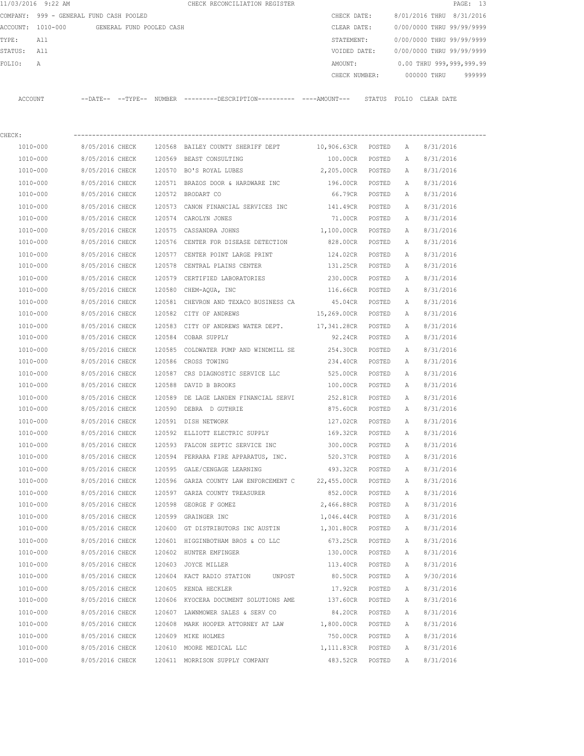| 11/03/2016 9:22 AM                         |                 |  | CHECK RECONCILIATION REGISTER                                                               |                    |        |              | PAGE: 13                         |  |
|--------------------------------------------|-----------------|--|---------------------------------------------------------------------------------------------|--------------------|--------|--------------|----------------------------------|--|
| COMPANY: 999 - GENERAL FUND CASH POOLED    |                 |  |                                                                                             | CHECK DATE:        |        |              | 8/01/2016 THRU 8/31/2016         |  |
| ACCOUNT: 1010-000 GENERAL FUND POOLED CASH |                 |  |                                                                                             | CLEAR DATE:        |        |              | 0/00/0000 THRU 99/99/9999        |  |
| TYPE:<br>All                               |                 |  |                                                                                             | STATEMENT:         |        |              | 0/00/0000 THRU 99/99/9999        |  |
| STATUS: All                                |                 |  |                                                                                             | VOIDED DATE:       |        |              | 0/00/0000 THRU 99/99/9999        |  |
| FOLIO:<br>А                                |                 |  |                                                                                             | AMOUNT:            |        |              | 0.00 THRU 999,999,999.99         |  |
|                                            |                 |  |                                                                                             |                    |        |              | CHECK NUMBER: 000000 THRU 999999 |  |
| ACCOUNT                                    |                 |  | --DATE-- --TYPE-- NUMBER --------DESCRIPTION---------- ---AMOUNT--- STATUS FOLIO CLEAR-DATE |                    |        |              |                                  |  |
| CHECK:                                     |                 |  |                                                                                             |                    |        |              |                                  |  |
| 1010-000                                   |                 |  | 8/05/2016 CHECK 120568 BAILEY COUNTY SHERIFF DEPT 10,906.63CR POSTED A                      |                    |        |              | 8/31/2016                        |  |
| 1010-000                                   | 8/05/2016 CHECK |  | 120569 BEAST CONSULTING                                                                     | 100.00CR POSTED    |        | A            | 8/31/2016                        |  |
| 1010-000                                   | 8/05/2016 CHECK |  | 120570 BO'S ROYAL LUBES                                                                     | 2,205.00CR POSTED  |        | A            | 8/31/2016                        |  |
| 1010-000                                   | 8/05/2016 CHECK |  | 120571 BRAZOS DOOR & HARDWARE INC                                                           | 196.00CR POSTED    |        | A            | 8/31/2016                        |  |
| 1010-000                                   | 8/05/2016 CHECK |  | 120572 BRODART CO                                                                           | 66.79CR POSTED     |        | A            | 8/31/2016                        |  |
| 1010-000                                   | 8/05/2016 CHECK |  | 120573 CANON FINANCIAL SERVICES INC 141.49CR POSTED                                         |                    |        | A            | 8/31/2016                        |  |
| 1010-000                                   | 8/05/2016 CHECK |  | 120574 CAROLYN JONES                                                                        | 71.00CR POSTED     |        | A            | 8/31/2016                        |  |
| 1010-000                                   | 8/05/2016 CHECK |  | 120575 CASSANDRA JOHNS 1,100.00CR POSTED                                                    |                    |        | A            | 8/31/2016                        |  |
| 1010-000                                   | 8/05/2016 CHECK |  | 120576 CENTER FOR DISEASE DETECTION 828.00CR POSTED                                         |                    |        | $\mathbb{A}$ | 8/31/2016                        |  |
|                                            |                 |  |                                                                                             |                    |        |              |                                  |  |
| 1010-000                                   | 8/05/2016 CHECK |  | 120577 CENTER POINT LARGE PRINT<br>120578 CENTRAL PLAINS CENTER                             | 124.02CR           | POSTED | A            | 8/31/2016                        |  |
| 1010-000                                   | 8/05/2016 CHECK |  |                                                                                             | 131.25CR           | POSTED | A            | 8/31/2016                        |  |
| 1010-000                                   | 8/05/2016 CHECK |  | 120579 CERTIFIED LABORATORIES                                                               | 230.00CR POSTED    |        | A            | 8/31/2016                        |  |
| 1010-000                                   | 8/05/2016 CHECK |  | 120580 CHEM-AQUA, INC                                                                       | 116.66CR POSTED    |        | A            | 8/31/2016                        |  |
| 1010-000                                   | 8/05/2016 CHECK |  | 120581 CHEVRON AND TEXACO BUSINESS CA                                                       | 45.04CR POSTED     |        | A            | 8/31/2016                        |  |
| 1010-000                                   | 8/05/2016 CHECK |  | 120582 CITY OF ANDREWS                                                                      | 15,269.00CR POSTED |        | A            | 8/31/2016                        |  |
| 1010-000                                   | 8/05/2016 CHECK |  | 120583 CITY OF ANDREWS WATER DEPT. 17,341.28CR POSTED                                       |                    |        | A            | 8/31/2016                        |  |
| 1010-000                                   | 8/05/2016 CHECK |  | 120584 COBAR SUPPLY                                                                         | 92.24CR POSTED     |        | A            | 8/31/2016                        |  |
| 1010-000                                   | 8/05/2016 CHECK |  | 120585 COLDWATER PUMP AND WINDMILL SE 254.30CR                                              |                    | POSTED | A            | 8/31/2016                        |  |
| 1010-000                                   | 8/05/2016 CHECK |  | 120586 CROSS TOWING                                                                         | 234.40CR           | POSTED | A            | 8/31/2016                        |  |
| 1010-000                                   | 8/05/2016 CHECK |  | 120587 CRS DIAGNOSTIC SERVICE LLC                                                           | 525.00CR           | POSTED | A            | 8/31/2016                        |  |
| 1010-000                                   | 8/05/2016 CHECK |  | 120588 DAVID B BROOKS                                                                       | 100.00CR           | POSTED | A            | 8/31/2016                        |  |
| 1010-000                                   | 8/05/2016 CHECK |  | 120589 DE LAGE LANDEN FINANCIAL SERVI                                                       | 252.81CR           | POSTED | A            | 8/31/2016                        |  |
| 1010-000                                   |                 |  | 8/05/2016 CHECK 120590 DEBRA D GUTHRIE                                                      | 875.60CR           | POSTED | A            | 8/31/2016                        |  |
| 1010-000                                   | 8/05/2016 CHECK |  | 120591 DISH NETWORK                                                                         | 127.02CR           | POSTED | A            | 8/31/2016                        |  |
| 1010-000                                   | 8/05/2016 CHECK |  | 120592 ELLIOTT ELECTRIC SUPPLY                                                              | 169.32CR           | POSTED | А            | 8/31/2016                        |  |
| 1010-000                                   | 8/05/2016 CHECK |  | 120593 FALCON SEPTIC SERVICE INC                                                            | 300.00CR           | POSTED | Α            | 8/31/2016                        |  |
| 1010-000                                   | 8/05/2016 CHECK |  | 120594 FERRARA FIRE APPARATUS, INC.                                                         | 520.37CR           | POSTED | Α            | 8/31/2016                        |  |
| 1010-000                                   | 8/05/2016 CHECK |  | 120595 GALE/CENGAGE LEARNING                                                                | 493.32CR           | POSTED | Α            | 8/31/2016                        |  |
| 1010-000                                   | 8/05/2016 CHECK |  | 120596 GARZA COUNTY LAW ENFORCEMENT C 22,455.00CR                                           |                    | POSTED | Α            | 8/31/2016                        |  |
| 1010-000                                   | 8/05/2016 CHECK |  | 120597 GARZA COUNTY TREASURER                                                               | 852.00CR           | POSTED | Α            | 8/31/2016                        |  |
| 1010-000                                   | 8/05/2016 CHECK |  | 120598 GEORGE F GOMEZ                                                                       | 2,466.88CR         | POSTED | Α            | 8/31/2016                        |  |
| 1010-000                                   | 8/05/2016 CHECK |  | 120599 GRAINGER INC                                                                         | 1,046.44CR         | POSTED | Α            | 8/31/2016                        |  |
| 1010-000                                   | 8/05/2016 CHECK |  | 120600 GT DISTRIBUTORS INC AUSTIN                                                           | 1,301.80CR         | POSTED | Α            | 8/31/2016                        |  |
| $1010 - 000$                               | 8/05/2016 CHECK |  | 120601 HIGGINBOTHAM BROS & CO LLC                                                           | 673.25CR           | POSTED | Α            | 8/31/2016                        |  |
| 1010-000                                   | 8/05/2016 CHECK |  | 120602 HUNTER EMFINGER                                                                      | 130.00CR           | POSTED | Α            | 8/31/2016                        |  |
| 1010-000                                   | 8/05/2016 CHECK |  | 120603 JOYCE MILLER                                                                         | 113.40CR           | POSTED | Α            | 8/31/2016                        |  |
| 1010-000                                   | 8/05/2016 CHECK |  | 120604 KACT RADIO STATION<br>UNPOST                                                         | 80.50CR            | POSTED | Α            | 9/30/2016                        |  |
| 1010-000                                   | 8/05/2016 CHECK |  | 120605 KENDA HECKLER                                                                        | 17.92CR            | POSTED | Α            | 8/31/2016                        |  |
| 1010-000                                   | 8/05/2016 CHECK |  | 120606 KYOCERA DOCUMENT SOLUTIONS AME                                                       | 137.60CR           | POSTED | Α            | 8/31/2016                        |  |
| 1010-000                                   | 8/05/2016 CHECK |  | 120607 LAWNMOWER SALES & SERV CO                                                            | 84.20CR            | POSTED | Α            | 8/31/2016                        |  |
| 1010-000                                   | 8/05/2016 CHECK |  | 120608 MARK HOOPER ATTORNEY AT LAW                                                          | 1,800.00CR         | POSTED | Α            | 8/31/2016                        |  |
| 1010-000                                   | 8/05/2016 CHECK |  | 120609 MIKE HOLMES                                                                          | 750.00CR           | POSTED | Α            | 8/31/2016                        |  |
| 1010-000                                   | 8/05/2016 CHECK |  | 120610 MOORE MEDICAL LLC                                                                    | 1,111.83CR         | POSTED | Α            | 8/31/2016                        |  |
| 1010-000                                   | 8/05/2016 CHECK |  | 120611 MORRISON SUPPLY COMPANY                                                              | 483.52CR           | POSTED | Α            | 8/31/2016                        |  |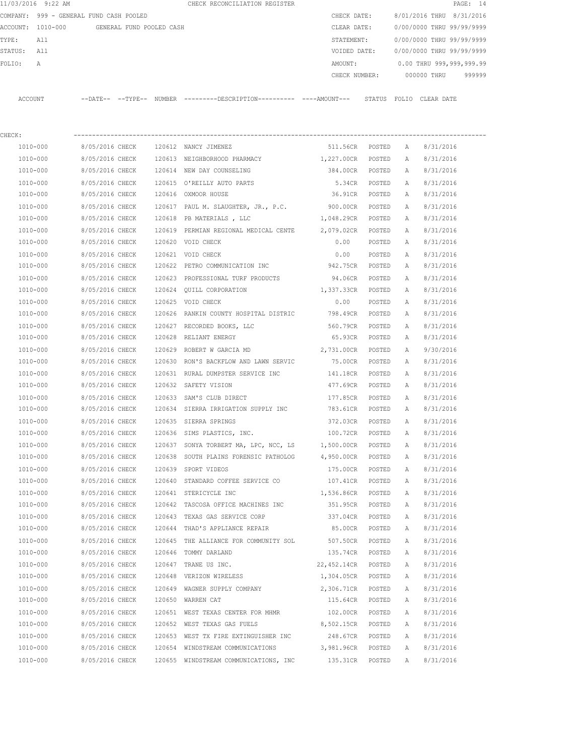|          | 11/03/2016 9:22 AM                      |                       |                          |        | CHECK RECONCILIATION REGISTER                |  |               |        |                           |                          | PAGE: 14 |
|----------|-----------------------------------------|-----------------------|--------------------------|--------|----------------------------------------------|--|---------------|--------|---------------------------|--------------------------|----------|
|          | COMPANY: 999 - GENERAL FUND CASH POOLED |                       |                          |        |                                              |  | CHECK DATE:   |        | 8/01/2016 THRU 8/31/2016  |                          |          |
| ACCOUNT: | 1010-000                                |                       | GENERAL FUND POOLED CASH |        |                                              |  | CLEAR DATE:   |        | 0/00/0000 THRU 99/99/9999 |                          |          |
| TYPE:    | All                                     |                       |                          |        |                                              |  | STATEMENT:    |        | 0/00/0000 THRU 99/99/9999 |                          |          |
| STATUS:  | All                                     |                       |                          |        |                                              |  | VOIDED DATE:  |        | 0/00/0000 THRU 99/99/9999 |                          |          |
| FOLIO:   | Α                                       |                       |                          |        |                                              |  | AMOUNT:       |        |                           | 0.00 THRU 999,999,999.99 |          |
|          |                                         |                       |                          |        |                                              |  | CHECK NUMBER: |        |                           | 000000 THRU              | 999999   |
|          |                                         |                       |                          |        |                                              |  |               |        |                           |                          |          |
| ACCOUNT  |                                         | $---DAT E---TYP E---$ |                          | NUMBER | ---------DESCRIPTION---------- ----AMOUNT--- |  |               | STATUS | FOLIO CLEAR DATE          |                          |          |
|          |                                         |                       |                          |        |                                              |  |               |        |                           |                          |          |
|          |                                         |                       |                          |        |                                              |  |               |        |                           |                          |          |

| CHECK:       |                                               |        |                                                                         |                   |        |   |           |
|--------------|-----------------------------------------------|--------|-------------------------------------------------------------------------|-------------------|--------|---|-----------|
|              | 1010-000 8/05/2016 CHECK 120612 NANCY JIMENEZ |        |                                                                         | 511.56CR POSTED A |        |   | 8/31/2016 |
| 1010-000     |                                               |        | 8/05/2016 CHECK 120613 NEIGHBORHOOD PHARMACY 1,227.00CR POSTED A        |                   |        |   | 8/31/2016 |
| 1010-000     |                                               |        | 8/05/2016 CHECK 120614 NEW DAY COUNSELING                               | 384.00CR POSTED   |        | A | 8/31/2016 |
| 1010-000     |                                               |        | 8/05/2016 CHECK 120615 O'REILLY AUTO PARTS                              | 5.34CR POSTED     |        | A | 8/31/2016 |
| 1010-000     | 8/05/2016 CHECK 120616 OXMOOR HOUSE           |        |                                                                         | 36.91CR POSTED    |        | A | 8/31/2016 |
| 1010-000     |                                               |        | 8/05/2016 CHECK 120617 PAUL M. SLAUGHTER, JR., P.C.                     | 900.00CR POSTED   |        | A | 8/31/2016 |
| 1010-000     |                                               |        | 8/05/2016 CHECK 120618 PB MATERIALS, LLC                                | 1,048.29CR POSTED |        | A | 8/31/2016 |
| 1010-000     |                                               |        | 8/05/2016 CHECK 120619 PERMIAN REGIONAL MEDICAL CENTE 2,079.02CR POSTED |                   |        | A | 8/31/2016 |
| 1010-000     | 8/05/2016 CHECK 120620 VOID CHECK             |        |                                                                         | 0.00              | POSTED | A | 8/31/2016 |
| 1010-000     | 8/05/2016 CHECK 120621 VOID CHECK             |        |                                                                         | 0.00              | POSTED | A | 8/31/2016 |
| 1010-000     |                                               |        | 8/05/2016 CHECK 120622 PETRO COMMUNICATION INC 942.75CR POSTED          |                   |        | A | 8/31/2016 |
| 1010-000     |                                               |        | 8/05/2016 CHECK 120623 PROFESSIONAL TURF PRODUCTS                       | 94.06CR POSTED    |        | A | 8/31/2016 |
| 1010-000     |                                               |        | 8/05/2016 CHECK 120624 QUILL CORPORATION                                | 1,337.33CR POSTED |        | A | 8/31/2016 |
| 1010-000     | 8/05/2016 CHECK 120625 VOID CHECK             |        |                                                                         | 0.00              | POSTED | A | 8/31/2016 |
| 1010-000     |                                               |        | 8/05/2016 CHECK 120626 RANKIN COUNTY HOSPITAL DISTRIC 798.49CR POSTED   |                   |        | A | 8/31/2016 |
| 1010-000     |                                               |        | 8/05/2016 CHECK 120627 RECORDED BOOKS, LLC                              | 560.79CR POSTED   |        | A | 8/31/2016 |
| 1010-000     | 8/05/2016 CHECK 120628 RELIANT ENERGY         |        |                                                                         | 65.93CR POSTED    |        | A | 8/31/2016 |
| 1010-000     |                                               |        | 8/05/2016 CHECK 120629 ROBERT W GARCIA MD                               | 2,731.00CR POSTED |        | A | 9/30/2016 |
| 1010-000     |                                               |        | 8/05/2016 CHECK 120630 RON'S BACKFLOW AND LAWN SERVIC                   | 75.00CR POSTED    |        | A | 8/31/2016 |
| 1010-000     |                                               |        | 8/05/2016 CHECK 120631 RURAL DUMPSTER SERVICE INC                       | 141.18CR POSTED   |        | A | 8/31/2016 |
| 1010-000     | 8/05/2016 CHECK 120632 SAFETY VISION          |        |                                                                         | 477.69CR POSTED   |        | A | 8/31/2016 |
| 1010-000     |                                               |        | 8/05/2016 CHECK 120633 SAM'S CLUB DIRECT                                | 177.85CR POSTED   |        | A | 8/31/2016 |
| 1010-000     |                                               |        | 8/05/2016 CHECK 120634 SIERRA IRRIGATION SUPPLY INC 783.61CR POSTED     |                   |        | A | 8/31/2016 |
| 1010-000     | 8/05/2016 CHECK 120635 SIERRA SPRINGS         |        |                                                                         | 372.03CR POSTED   |        | A | 8/31/2016 |
| 1010-000     |                                               |        | 8/05/2016 CHECK 120636 SIMS PLASTICS, INC. 100.72CR POSTED              |                   |        | A | 8/31/2016 |
| 1010-000     |                                               |        | 8/05/2016 CHECK 120637 SONYA TORBERT MA, LPC, NCC, LS 1,500.00CR POSTED |                   |        | A | 8/31/2016 |
| 1010-000     |                                               |        | 8/05/2016 CHECK 120638 SOUTH PLAINS FORENSIC PATHOLOG 4,950.00CR POSTED |                   |        | A | 8/31/2016 |
| 1010-000     | 8/05/2016 CHECK 120639 SPORT VIDEOS           |        |                                                                         | 175.00CR POSTED   |        | A | 8/31/2016 |
| 1010-000     |                                               |        | 8/05/2016 CHECK 120640 STANDARD COFFEE SERVICE CO                       | 107.41CR POSTED   |        | A | 8/31/2016 |
| 1010-000     | 8/05/2016 CHECK 120641 STERICYCLE INC         |        |                                                                         | 1,536.86CR POSTED |        | A | 8/31/2016 |
| 1010-000     |                                               |        | 8/05/2016 CHECK 120642 TASCOSA OFFICE MACHINES INC                      | 351.95CR POSTED   |        | A | 8/31/2016 |
| 1010-000     |                                               |        | 8/05/2016 CHECK 120643 TEXAS GAS SERVICE CORP                           | 337.04CR POSTED   |        | A | 8/31/2016 |
| 1010-000     |                                               |        | 8/05/2016 CHECK 120644 THAD'S APPLIANCE REPAIR                          | 85.00CR POSTED    |        | A | 8/31/2016 |
| 1010-000     |                                               |        | 8/05/2016 CHECK 120645 THE ALLIANCE FOR COMMUNITY SOL 507.50CR POSTED A |                   |        |   | 8/31/2016 |
| 1010-000     | 8/05/2016 CHECK 120646 TOMMY DARLAND          |        |                                                                         | 135.74CR POSTED A |        |   | 8/31/2016 |
| 1010-000     | 8/05/2016 CHECK                               | 120647 | TRANE US INC.                                                           | 22,452.14CR       | POSTED | Α | 8/31/2016 |
| 1010-000     | 8/05/2016 CHECK                               |        | 120648 VERIZON WIRELESS                                                 | 1,304.05CR        | POSTED | Α | 8/31/2016 |
| 1010-000     | 8/05/2016 CHECK                               |        | 120649 WAGNER SUPPLY COMPANY                                            | 2,306.71CR        | POSTED | Α | 8/31/2016 |
| 1010-000     | 8/05/2016 CHECK                               |        | 120650 WARREN CAT                                                       | 115.64CR          | POSTED | Α | 8/31/2016 |
| $1010 - 000$ | 8/05/2016 CHECK                               |        | 120651 WEST TEXAS CENTER FOR MHMR                                       | 102.00CR          | POSTED | Α | 8/31/2016 |
| 1010-000     | 8/05/2016 CHECK                               |        | 120652 WEST TEXAS GAS FUELS                                             | 8,502.15CR        | POSTED | Α | 8/31/2016 |
| 1010-000     | 8/05/2016 CHECK                               |        | 120653 WEST TX FIRE EXTINGUISHER INC                                    | 248.67CR          | POSTED | Α | 8/31/2016 |
| 1010-000     | 8/05/2016 CHECK                               |        | 120654 WINDSTREAM COMMUNICATIONS                                        | 3,981.96CR        | POSTED | Α | 8/31/2016 |
| 1010-000     | 8/05/2016 CHECK                               |        | 120655 WINDSTREAM COMMUNICATIONS, INC                                   | 135.31CR          | POSTED | Α | 8/31/2016 |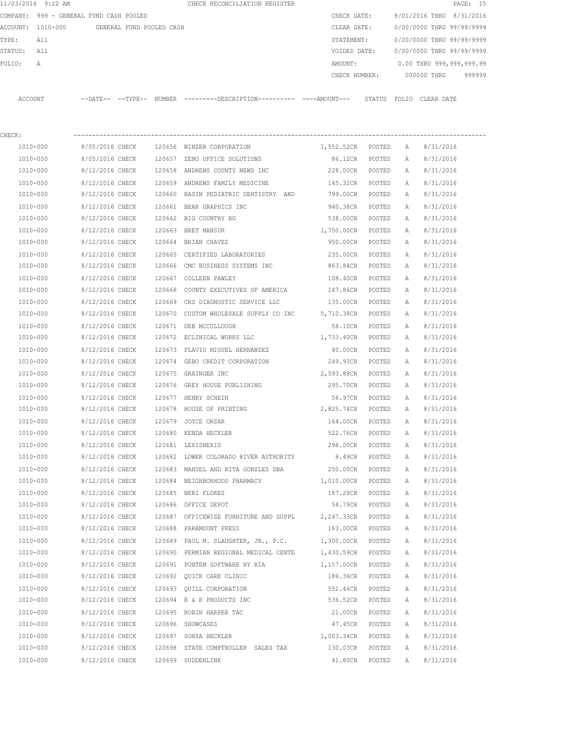| COMPANY: 999 - GENERAL FUND CASH POOLED<br>ACCOUNT: 1010-000<br>TYPE:<br>All<br>STATUS: All<br>FOLIO:<br>A | GENERAL FUND POOLED CASH           |                                                                                                | CHECK DATE:<br>CLEAR DATE:<br>STATEMENT: |                |             | 8/01/2016 THRU 8/31/2016<br>0/00/0000 THRU 99/99/9999<br>0/00/0000 THRU 99/99/9999 |  |
|------------------------------------------------------------------------------------------------------------|------------------------------------|------------------------------------------------------------------------------------------------|------------------------------------------|----------------|-------------|------------------------------------------------------------------------------------|--|
|                                                                                                            |                                    |                                                                                                |                                          |                |             |                                                                                    |  |
|                                                                                                            |                                    |                                                                                                |                                          |                |             |                                                                                    |  |
|                                                                                                            |                                    |                                                                                                |                                          |                |             |                                                                                    |  |
|                                                                                                            |                                    |                                                                                                |                                          |                |             | VOIDED DATE: 0/00/0000 THRU 99/99/9999                                             |  |
|                                                                                                            |                                    |                                                                                                | AMOUNT:                                  |                |             | $0.00$ THRU 999,999,999.99                                                         |  |
|                                                                                                            |                                    |                                                                                                |                                          |                |             | CHECK NUMBER: 000000 THRU<br>999999                                                |  |
| ACCOUNT                                                                                                    |                                    | --DATE-- --TYPE-- NUMBER --------DESCRIPTION--------- ----AMOUNT--- STATUS FOLIO CLEARDATE     |                                          |                |             |                                                                                    |  |
|                                                                                                            |                                    |                                                                                                |                                          |                |             |                                                                                    |  |
| CHECK:                                                                                                     |                                    |                                                                                                |                                          |                |             |                                                                                    |  |
| 1010-000<br>1010-000                                                                                       |                                    | 8/05/2016 CHECK 120656 WINZER CORPORATION                                                      | 1,552.52CR POSTED A<br>86.12CR POSTED    |                | A           | 8/31/2016<br>8/31/2016                                                             |  |
| 1010-000                                                                                                   |                                    | 8/05/2016 CHECK 120657 ZENO OFFICE SOLUTIONS<br>8/12/2016 CHECK 120658 ANDREWS COUNTY NEWS INC | 228.00CR POSTED                          |                |             | A 8/31/2016                                                                        |  |
| 1010-000                                                                                                   |                                    | 8/12/2016 CHECK 120659 ANDREWS FAMILY MEDICINE                                                 | 145.32CR POSTED                          |                | A           | 8/31/2016                                                                          |  |
| 1010-000                                                                                                   |                                    | 8/12/2016 CHECK 120660 BASIN PEDIATRIC DENTISTRY AND                                           | 799.00CR POSTED                          |                | A           | 8/31/2016                                                                          |  |
| $1010 - 000$                                                                                               |                                    | 8/12/2016 CHECK 120661 BEAR GRAPHICS INC                                                       | 940.38CR POSTED                          |                | A           | 8/31/2016                                                                          |  |
| 1010-000                                                                                                   | 8/12/2016 CHECK                    | 120662 BIG COUNTRY BG                                                                          | 538.00CR POSTED                          |                | A           | 8/31/2016                                                                          |  |
| 1010-000                                                                                                   | 8/12/2016 CHECK                    | 120663 BRET MANSUR                                                                             | 1,750.00CR POSTED                        |                | A           | 8/31/2016                                                                          |  |
| 1010-000                                                                                                   |                                    | 8/12/2016 CHECK 120664 BRIAN CHAVEZ                                                            | 950.00CR POSTED                          |                | A           | 8/31/2016                                                                          |  |
| 1010-000                                                                                                   | 8/12/2016 CHECK                    | 120665 CERTIFIED LABORATORIES                                                                  | 235.00CR POSTED                          |                | A           | 8/31/2016                                                                          |  |
| 1010-000                                                                                                   | 8/12/2016 CHECK                    | 120666 CMC BUSINESS SYSTEMS INC                                                                | 863.84CR POSTED                          |                | A           | 8/31/2016                                                                          |  |
| 1010-000                                                                                                   | 8/12/2016 CHECK                    | 120667 COLLEEN PAWLEY                                                                          | 108.40CR POSTED                          |                | A           | 8/31/2016                                                                          |  |
| 1010-000                                                                                                   | 8/12/2016 CHECK                    | 120668 COUNTY EXECUTIVES OF AMERICA                                                            | 147.86CR POSTED                          |                | A           | 8/31/2016                                                                          |  |
| 1010-000                                                                                                   | 8/12/2016 CHECK                    | 120669 CRS DIAGNOSTIC SERVICE LLC                                                              | 135.00CR POSTED                          |                | $\mathbb A$ | 8/31/2016                                                                          |  |
| 1010-000                                                                                                   | 8/12/2016 CHECK                    | 120670 CUSTOM WHOLESALE SUPPLY CO INC 5,710.38CR POSTED                                        |                                          |                | $\mathbb A$ | 8/31/2016                                                                          |  |
| 1010-000                                                                                                   | 8/12/2016 CHECK                    | 120671 DEB MCCULLOUGH                                                                          |                                          | 58.10CR POSTED | A           | 8/31/2016                                                                          |  |
| 1010-000                                                                                                   |                                    | 8/12/2016 CHECK 120672 ECLINICAL WORKS LLC 1,733.40CR POSTED                                   |                                          |                | A           | 8/31/2016                                                                          |  |
| 1010-000                                                                                                   |                                    | 8/12/2016 CHECK 120673 FLAVIO MIGUEL HERNANDEZ                                                 | 40.00CR POSTED                           |                | A           | 8/31/2016                                                                          |  |
| 1010-000                                                                                                   | 8/12/2016 CHECK                    | 120674 GEBO CREDIT CORPORATION                                                                 | 249.93CR POSTED                          |                | A           | 8/31/2016                                                                          |  |
| 1010-000                                                                                                   | 8/12/2016 CHECK                    | 120675 GRAINGER INC                                                                            | 2,593.88CR POSTED                        |                | A           | 8/31/2016                                                                          |  |
| 1010-000                                                                                                   |                                    | 8/12/2016 CHECK 120676 GREY HOUSE PUBLISHING                                                   | 295.70CR POSTED                          |                | A           | 8/31/2016                                                                          |  |
| 1010-000                                                                                                   | 8/12/2016 CHECK                    | 120677 HENRY SCHEIN                                                                            | 56.97CR POSTED                           |                | A           | 8/31/2016                                                                          |  |
| 1010-000                                                                                                   |                                    | 8/12/2016 CHECK 120678 HOUSE OF PRINTING                                                       | 2,825.74CR POSTED A 8/31/2016            |                |             |                                                                                    |  |
| 1010-000                                                                                                   | 8/12/2016 CHECK                    | 120679 JOYCE ORSAK                                                                             | 164.00CR POSTED                          |                | A           | 8/31/2016                                                                          |  |
| 1010-000                                                                                                   | 8/12/2016 CHECK                    | 120680 KENDA HECKLER                                                                           | 522.76CR                                 | POSTED         | Α           | 8/31/2016                                                                          |  |
| 1010-000                                                                                                   | 8/12/2016 CHECK                    | 120681 LEXISNEXIS                                                                              | 298.00CR                                 | POSTED         | Α           | 8/31/2016                                                                          |  |
| 1010-000                                                                                                   | 8/12/2016 CHECK                    | 120682 LOWER COLORADO RIVER AUTHORITY                                                          | 8.49CR                                   | POSTED         | Α           | 8/31/2016                                                                          |  |
| 1010-000                                                                                                   | 8/12/2016 CHECK                    | 120683 MANUEL AND RITA GONZLES DBA                                                             | 250.00CR                                 | POSTED         | Α           | 8/31/2016                                                                          |  |
| 1010-000                                                                                                   | 8/12/2016 CHECK                    | 120684 NEIGHBORHOOD PHARMACY                                                                   | 1,010.00CR                               | POSTED         | Α           | 8/31/2016                                                                          |  |
| 1010-000                                                                                                   | 8/12/2016 CHECK                    | 120685 NERI FLORES                                                                             | 187.28CR                                 | POSTED         | Α           | 8/31/2016                                                                          |  |
| 1010-000                                                                                                   | 8/12/2016 CHECK                    | 120686 OFFICE DEPOT                                                                            | 54.79CR                                  | POSTED         | Α           | 8/31/2016                                                                          |  |
| 1010-000                                                                                                   |                                    | 8/12/2016 CHECK 120687 OFFICEWISE FURNITURE AND SUPPL                                          | 2,247.33CR                               | POSTED         | Α           | 8/31/2016                                                                          |  |
| 1010-000                                                                                                   | 8/12/2016 CHECK                    | 120688 PARAMOUNT PRESS                                                                         | 163.00CR POSTED                          |                | Α           | 8/31/2016                                                                          |  |
| 1010-000                                                                                                   | 8/12/2016 CHECK                    | 120689 PAUL M. SLAUGHTER, JR., P.C.                                                            | 1,300.00CR POSTED                        |                | Α           | 8/31/2016                                                                          |  |
| 1010-000                                                                                                   | 8/12/2016 CHECK                    | 120690 PERMIAN REGIONAL MEDICAL CENTE                                                          | 1,430.59CR POSTED                        |                | A           | 8/31/2016                                                                          |  |
| 1010-000<br>1010-000                                                                                       | 8/12/2016 CHECK                    | 120691 PONTEM SOFTWARE BY RIA                                                                  | 1,157.00CR POSTED                        |                | Α           | 8/31/2016                                                                          |  |
| 1010-000                                                                                                   | 8/12/2016 CHECK<br>8/12/2016 CHECK | 120692 QUICK CARE CLINIC<br>120693 QUILL CORPORATION                                           | 186.36CR POSTED<br>552.46CR              | POSTED         | Α<br>Α      | 8/31/2016                                                                          |  |
| 1010-000                                                                                                   | 8/12/2016 CHECK                    | 120694 R & R PRODUCTS INC                                                                      | 536.52CR                                 | POSTED         | Α           | 8/31/2016<br>8/31/2016                                                             |  |
| 1010-000                                                                                                   | 8/12/2016 CHECK                    | 120695 ROBIN HARPER TAC                                                                        | 21.00CR                                  | POSTED         | Α           | 8/31/2016                                                                          |  |
| 1010-000                                                                                                   | 8/12/2016 CHECK                    | 120696 SHOWCASES                                                                               | 47.45CR                                  | POSTED         | Α           | 8/31/2016                                                                          |  |
| 1010-000                                                                                                   | 8/12/2016 CHECK                    | 120697 SONYA HECKLER                                                                           | 1,003.34CR POSTED                        |                | A           | 8/31/2016                                                                          |  |

 1010-000 8/12/2016 CHECK 120698 STATE COMPTROLLER SALES TAX 130.03CR POSTED A 8/31/2016 1010-000 8/12/2016 CHECK 120699 SUDDENLINK 41.80CR POSTED A 8/31/2016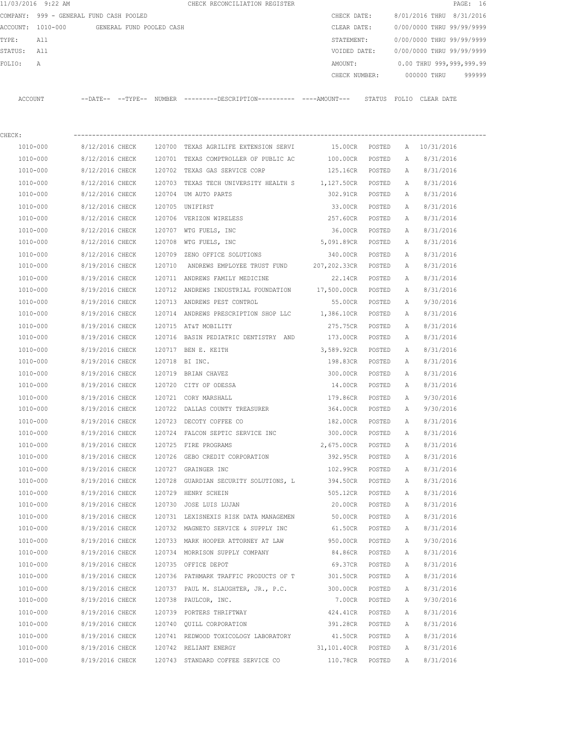|             | 11/03/2016 9:22 AM |                                            |  | CHECK RECONCILIATION REGISTER                                                                        |                             |        |          |                                        | PAGE: 16 |
|-------------|--------------------|--------------------------------------------|--|------------------------------------------------------------------------------------------------------|-----------------------------|--------|----------|----------------------------------------|----------|
|             |                    | COMPANY: 999 - GENERAL FUND CASH POOLED    |  |                                                                                                      | CHECK DATE:                 |        |          | 8/01/2016 THRU 8/31/2016               |          |
|             |                    | ACCOUNT: 1010-000 GENERAL FUND POOLED CASH |  |                                                                                                      | CLEAR DATE:                 |        |          | 0/00/0000 THRU 99/99/9999              |          |
| TYPE:       | All                |                                            |  |                                                                                                      |                             |        |          | STATEMENT: 0/00/0000 THRU 99/99/9999   |          |
| STATUS: All |                    |                                            |  |                                                                                                      |                             |        |          | VOIDED DATE: 0/00/0000 THRU 99/99/9999 |          |
| FOLIO:      | A                  |                                            |  |                                                                                                      |                             |        |          | AMOUNT: 0.00 THRU 999,999,999.99       |          |
|             |                    |                                            |  |                                                                                                      |                             |        |          | CHECK NUMBER: 000000 THRU 999999       |          |
|             |                    |                                            |  | ACCOUNT --DATE-- --TYPE-- NUMBER ---------DESCRIPTION--------- ----AMOUNT--- STATUS FOLIO CLEAR DATE |                             |        |          |                                        |          |
| CHECK:      |                    |                                            |  |                                                                                                      |                             |        |          |                                        |          |
|             | 1010-000           |                                            |  | 8/12/2016 CHECK 120700 TEXAS AGRILIFE EXTENSION SERVI                                                |                             |        |          | 15.00CR POSTED A 10/31/2016            |          |
|             | 1010-000           |                                            |  | 8/12/2016 CHECK 120701 TEXAS COMPTROLLER OF PUBLIC AC                                                |                             |        |          | 100.00CR POSTED A 8/31/2016            |          |
|             | 1010-000           |                                            |  | 8/12/2016 CHECK 120702 TEXAS GAS SERVICE CORP                                                        |                             |        |          | 125.16CR POSTED A 8/31/2016            |          |
|             | 1010-000           |                                            |  | $8/12/2016$ CHECK $120703$ TEXAS TECH UNIVERSITY HEALTH S $1,127.50$ CR POSTED A                     |                             |        |          | 8/31/2016                              |          |
|             | 1010-000           |                                            |  | 8/12/2016 CHECK 120704 UM AUTO PARTS                                                                 | 302.91CR POSTED A           |        |          | 8/31/2016                              |          |
|             | 1010-000           | 8/12/2016 CHECK 120705 UNIFIRST            |  |                                                                                                      | 33.00CR POSTED              |        | A        | 8/31/2016                              |          |
|             | 1010-000           |                                            |  | 8/12/2016 CHECK 120706 VERIZON WIRELESS                                                              | 257.60CR POSTED             |        | A        | 8/31/2016                              |          |
|             | 1010-000           |                                            |  | 8/12/2016 CHECK 120707 WTG FUELS, INC                                                                | 36.00CR POSTED              |        | A        | 8/31/2016                              |          |
|             | 1010-000           |                                            |  | 8/12/2016 CHECK 120708 WTG FUELS, INC                                                                | 5,091.89CR POSTED           |        | A        | 8/31/2016                              |          |
|             | 1010-000           |                                            |  | 8/12/2016 CHECK 120709 ZENO OFFICE SOLUTIONS                                                         | 340.00CR POSTED             |        | A        | 8/31/2016                              |          |
|             | 1010-000           |                                            |  | 8/19/2016 CHECK 120710 ANDREWS EMPLOYEE TRUST FUND                                                   | 207,202.33CR POSTED A       |        |          | 8/31/2016                              |          |
|             | 1010-000           |                                            |  | 8/19/2016 CHECK 120711 ANDREWS FAMILY MEDICINE                                                       | 22.14CR POSTED              |        | A        | 8/31/2016                              |          |
|             | 1010-000           | 8/19/2016 CHECK                            |  | 120712 ANDREWS INDUSTRIAL FOUNDATION 17,500.00CR POSTED                                              |                             |        | A        | 8/31/2016                              |          |
|             | 1010-000           | 8/19/2016 CHECK                            |  | 120713 ANDREWS PEST CONTROL                                                                          | 55.00CR POSTED              |        | A        | 9/30/2016                              |          |
|             | 1010-000           |                                            |  | 8/19/2016 CHECK 120714 ANDREWS PRESCRIPTION SHOP LLC 1,386.10CR POSTED                               |                             |        | A        | 8/31/2016                              |          |
|             | 1010-000           |                                            |  | 8/19/2016 CHECK 120715 AT&T MOBILITY                                                                 | 275.75CR POSTED             |        | A        | 8/31/2016                              |          |
|             | 1010-000           |                                            |  | 8/19/2016 CHECK 120716 BASIN PEDIATRIC DENTISTRY AND 173.00CR POSTED                                 |                             |        | A        | 8/31/2016                              |          |
|             | 1010-000           |                                            |  | 8/19/2016 CHECK 120717 BEN E. KEITH                                                                  | 3,589.92CR POSTED           |        | A        | 8/31/2016                              |          |
|             | 1010-000           | 8/19/2016 CHECK 120718 BI INC.             |  |                                                                                                      | 198.83CR POSTED             |        | A        | 8/31/2016                              |          |
|             | 1010-000           |                                            |  | 8/19/2016 CHECK 120719 BRIAN CHAVEZ                                                                  | 300.00CR POSTED             |        |          | 8/31/2016                              |          |
|             | 1010-000           |                                            |  | 8/19/2016 CHECK 120720 CITY OF ODESSA                                                                | 14.00CR POSTED              |        | A<br>A   | 8/31/2016                              |          |
|             | 1010-000           |                                            |  | 8/19/2016 CHECK 120721 CORY MARSHALL                                                                 | 179.86CR POSTED A           |        |          | 9/30/2016                              |          |
|             | 1010-000           |                                            |  | 8/19/2016 CHECK 120722 DALLAS COUNTY TREASURER                                                       | 364.00CR POSTED A 9/30/2016 |        |          |                                        |          |
|             |                    |                                            |  | 8/19/2016 CHECK 120723 DECOTY COFFEE CO                                                              |                             |        | POSTED A |                                        |          |
|             | 1010-000           | 8/19/2016 CHECK                            |  | 120724 FALCON SEPTIC SERVICE INC                                                                     | 182.00CR<br>300.00CR        |        |          | 8/31/2016                              |          |
|             | 1010-000           |                                            |  |                                                                                                      |                             | POSTED | Α        | 8/31/2016                              |          |
|             | 1010-000           | 8/19/2016 CHECK                            |  | 120725 FIRE PROGRAMS                                                                                 | 2,675.00CR<br>392.95CR      | POSTED | Α        | 8/31/2016                              |          |
|             | 1010-000           | 8/19/2016 CHECK                            |  | 120726 GEBO CREDIT CORPORATION                                                                       |                             | POSTED | Α        | 8/31/2016                              |          |
|             | 1010-000           | 8/19/2016 CHECK                            |  | 120727 GRAINGER INC                                                                                  | 102.99CR                    | POSTED | Α        | 8/31/2016                              |          |
|             | 1010-000           | 8/19/2016 CHECK                            |  | 120728 GUARDIAN SECURITY SOLUTIONS, L                                                                | 394.50CR                    | POSTED | Α        | 8/31/2016                              |          |
|             | 1010-000           | 8/19/2016 CHECK                            |  | 120729 HENRY SCHEIN                                                                                  | 505.12CR                    | POSTED | Α        | 8/31/2016                              |          |
|             | $1010 - 000$       | 8/19/2016 CHECK                            |  | 120730 JOSE LUIS LUJAN                                                                               | 20.00CR                     | POSTED | Α        | 8/31/2016                              |          |
|             | 1010-000           | 8/19/2016 CHECK                            |  | 120731 LEXISNEXIS RISK DATA MANAGEMEN 50.00CR                                                        |                             | POSTED | Α        | 8/31/2016                              |          |
|             | 1010-000           | 8/19/2016 CHECK                            |  | 120732 MAGNETO SERVICE & SUPPLY INC                                                                  | 61.50CR                     | POSTED | Α        | 8/31/2016                              |          |
|             | $1010 - 000$       | 8/19/2016 CHECK                            |  | 120733 MARK HOOPER ATTORNEY AT LAW                                                                   | 950.00CR                    | POSTED | Α        | 9/30/2016                              |          |
|             | 1010-000           | 8/19/2016 CHECK                            |  | 120734 MORRISON SUPPLY COMPANY                                                                       | 84.86CR                     | POSTED | Α        | 8/31/2016                              |          |
|             | 1010-000           | 8/19/2016 CHECK                            |  | 120735 OFFICE DEPOT                                                                                  | 69.37CR                     | POSTED | Α        | 8/31/2016                              |          |
|             | 1010-000           | 8/19/2016 CHECK                            |  | 120736 PATHMARK TRAFFIC PRODUCTS OF T                                                                | 301.50CR                    | POSTED | Α        | 8/31/2016                              |          |
|             | 1010-000           | 8/19/2016 CHECK                            |  | 120737 PAUL M. SLAUGHTER, JR., P.C.                                                                  | 300.00CR                    | POSTED | Α        | 8/31/2016                              |          |
|             | 1010-000           | 8/19/2016 CHECK                            |  | 120738 PAULCOR, INC.                                                                                 | 7.00CR                      | POSTED | Α        | 9/30/2016                              |          |
|             | 1010-000           | 8/19/2016 CHECK                            |  | 120739 PORTERS THRIFTWAY                                                                             | 424.41CR                    | POSTED | Α        | 8/31/2016                              |          |
|             | 1010-000           | 8/19/2016 CHECK                            |  | 120740 QUILL CORPORATION                                                                             | 391.28CR                    | POSTED | Α        | 8/31/2016                              |          |
|             | 1010-000           | 8/19/2016 CHECK                            |  | 120741 REDWOOD TOXICOLOGY LABORATORY                                                                 | 41.50CR                     | POSTED | Α        | 8/31/2016                              |          |
|             | 1010-000           | 8/19/2016 CHECK                            |  | 120742 RELIANT ENERGY                                                                                | 31,101.40CR                 | POSTED | Α        | 8/31/2016                              |          |
|             | 1010-000           | 8/19/2016 CHECK                            |  | 120743 STANDARD COFFEE SERVICE CO                                                                    | 110.78CR                    | POSTED | Α        | 8/31/2016                              |          |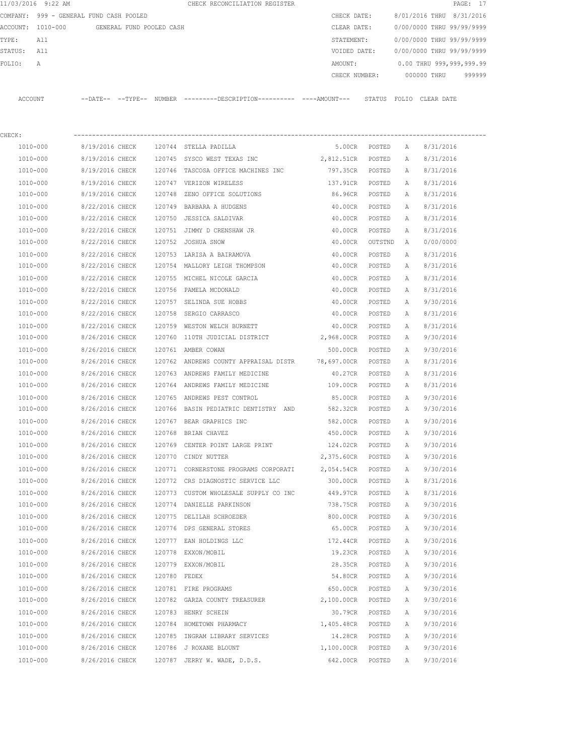|          | 11/03/2016 9:22 AM             |                            |                          |        | CHECK RECONCILIATION REGISTER                       |            |                  |              |             | PAGE: 17                  |
|----------|--------------------------------|----------------------------|--------------------------|--------|-----------------------------------------------------|------------|------------------|--------------|-------------|---------------------------|
| COMPANY: | 999 - GENERAL FUND CASH POOLED |                            |                          |        |                                                     |            | CHECK DATE:      |              |             | 8/01/2016 THRU 8/31/2016  |
| ACCOUNT: | 1010-000                       |                            | GENERAL FUND POOLED CASH |        |                                                     |            | CLEAR DATE:      |              |             | 0/00/0000 THRU 99/99/9999 |
| TYPE:    | All                            |                            |                          |        |                                                     |            | STATEMENT:       |              |             | 0/00/0000 THRU 99/99/9999 |
| STATUS:  | All                            |                            |                          |        |                                                     |            | VOIDED DATE:     |              |             | 0/00/0000 THRU 99/99/9999 |
| FOLIO:   | A                              |                            |                          |        |                                                     |            | AMOUNT:          |              |             | 0.00 THRU 999,999,999.99  |
|          |                                |                            |                          |        |                                                     |            | CHECK NUMBER:    |              | 000000 THRU | 999999                    |
| ACCOUNT  |                                | $--$ DATE $- --$ TYPE $--$ |                          |        | NUMBER ---------DESCRIPTION---------- ----AMOUNT--- |            | STATUS           | FOLIO        | CLEAR DATE  |                           |
| CHECK:   |                                |                            |                          |        |                                                     |            |                  |              |             |                           |
| 1010-000 |                                | 8/19/2016 CHECK            |                          |        | 120744 STELLA PADILLA                               |            | 5.00CR<br>POSTED | $\mathbb{A}$ | 8/31/2016   |                           |
| 1010-000 |                                | 8/19/2016 CHECK            |                          | 120745 | SYSCO WEST TEXAS INC                                | 2,812.51CR | POSTED           | Α            | 8/31/2016   |                           |
| 1010-000 |                                | 8/19/2016 CHECK            |                          | 120746 | TASCOSA OFFICE MACHINES INC                         | 797.35CR   | POSTED           | Α            | 8/31/2016   |                           |
|          | $1010 - 000$                   | 8/19/2016 CHECK            |                          |        | 120747 VERIZON WIRELESS                             | 137.91CR   | POSTED           | A            | 8/31/2016   |                           |

| 1010-000 | 8/19/2016 CHECK                         |              | 120747 VERIZON WIRELESS                                  | 137.91CR          | POSTED | A            | 8/31/2016 |
|----------|-----------------------------------------|--------------|----------------------------------------------------------|-------------------|--------|--------------|-----------|
| 1010-000 | 8/19/2016 CHECK                         |              | 120748 ZENO OFFICE SOLUTIONS                             | 86.96CR           | POSTED | Α            | 8/31/2016 |
| 1010-000 | 8/22/2016 CHECK                         |              | 120749 BARBARA A HUDGENS                                 | 40.00CR           | POSTED | A            | 8/31/2016 |
| 1010-000 | 8/22/2016 CHECK 120750 JESSICA SALDIVAR |              |                                                          | 40.00CR           | POSTED | $\mathbb{A}$ | 8/31/2016 |
| 1010-000 |                                         |              | 8/22/2016 CHECK 120751 JIMMY D CRENSHAW JR               | 40.00CR           | POSTED | Α            | 8/31/2016 |
| 1010-000 | 8/22/2016 CHECK                         |              | 120752 JOSHUA SNOW                                       | 40.00CR OUTSTND   |        | A            | 0/00/0000 |
| 1010-000 | 8/22/2016 CHECK                         |              | 120753 LARISA A BAIRAMOVA                                | 40.00CR           | POSTED | A            | 8/31/2016 |
| 1010-000 | 8/22/2016 CHECK                         |              | 120754 MALLORY LEIGH THOMPSON                            | 40.00CR           | POSTED | A            | 8/31/2016 |
| 1010-000 | 8/22/2016 CHECK                         |              | 120755 MICHEL NICOLE GARCIA                              | 40.00CR           | POSTED | A            | 8/31/2016 |
| 1010-000 | 8/22/2016 CHECK                         |              | 120756 PAMELA MCDONALD                                   | 40.00CR           | POSTED | $\mathbb{A}$ | 8/31/2016 |
| 1010-000 |                                         |              | 8/22/2016 CHECK 120757 SELINDA SUE HOBBS                 | 40.00CR POSTED    |        | A            | 9/30/2016 |
| 1010-000 | 8/22/2016 CHECK                         |              | 120758 SERGIO CARRASCO                                   | 40.00CR POSTED    |        | A            | 8/31/2016 |
| 1010-000 | 8/22/2016 CHECK                         |              | 120759 WESTON WELCH BURNETT                              | 40.00CR POSTED    |        | A            | 8/31/2016 |
| 1010-000 | 8/26/2016 CHECK                         |              | 120760 110TH JUDICIAL DISTRICT                           | 2,968.00CR POSTED |        | A            | 9/30/2016 |
| 1010-000 | 8/26/2016 CHECK                         |              | 120761 AMBER COWAN                                       | 500.00CR          | POSTED | Α            | 9/30/2016 |
| 1010-000 | 8/26/2016 CHECK                         |              | 120762 ANDREWS COUNTY APPRAISAL DISTR 78,697.00CR POSTED |                   |        | $\mathbb{A}$ | 8/31/2016 |
| 1010-000 | 8/26/2016 CHECK                         |              | 120763 ANDREWS FAMILY MEDICINE                           | 40.27CR           | POSTED | A            | 8/31/2016 |
| 1010-000 | 8/26/2016 CHECK                         |              | 120764 ANDREWS FAMILY MEDICINE                           | 109.00CR POSTED   |        | A            | 8/31/2016 |
| 1010-000 | 8/26/2016 CHECK                         |              | 120765 ANDREWS PEST CONTROL                              | 85.00CR           | POSTED | $\mathbb{A}$ | 9/30/2016 |
| 1010-000 | 8/26/2016 CHECK                         |              | 120766 BASIN PEDIATRIC DENTISTRY AND                     | 582.32CR          | POSTED | A            | 9/30/2016 |
| 1010-000 | 8/26/2016 CHECK                         |              | 120767 BEAR GRAPHICS INC                                 | 582.00CR          | POSTED | A            | 9/30/2016 |
| 1010-000 | 8/26/2016 CHECK 120768 BRIAN CHAVEZ     |              |                                                          | 450.00CR POSTED   |        | A            | 9/30/2016 |
| 1010-000 | 8/26/2016 CHECK                         |              | 120769 CENTER POINT LARGE PRINT                          | 124.02CR POSTED   |        | Α            | 9/30/2016 |
| 1010-000 | 8/26/2016 CHECK                         |              | 120770 CINDY NUTTER                                      | 2,375.60CR POSTED |        | Α            | 9/30/2016 |
| 1010-000 | 8/26/2016 CHECK                         |              | 120771 CORNERSTONE PROGRAMS CORPORATI                    | 2,054.54CR POSTED |        | A            | 9/30/2016 |
| 1010-000 | 8/26/2016 CHECK                         |              | 120772 CRS DIAGNOSTIC SERVICE LLC                        | 300.00CR          | POSTED | A            | 8/31/2016 |
| 1010-000 | 8/26/2016 CHECK                         |              | 120773 CUSTOM WHOLESALE SUPPLY CO INC                    | 449.97CR POSTED   |        | $\Delta$     | 8/31/2016 |
| 1010-000 | 8/26/2016 CHECK                         |              | 120774 DANIELLE PARKINSON                                | 738.75CR POSTED   |        | A            | 9/30/2016 |
| 1010-000 | 8/26/2016 CHECK                         |              | 120775 DELILAH SCHROEDER                                 | 800.00CR          | POSTED | А            | 9/30/2016 |
| 1010-000 | 8/26/2016 CHECK                         |              | 120776 DPS GENERAL STORES                                | 65.00CR           | POSTED | Α            | 9/30/2016 |
| 1010-000 | 8/26/2016 CHECK                         |              | 120777 EAN HOLDINGS LLC                                  | 172.44CR          | POSTED | A            | 9/30/2016 |
| 1010-000 | 8/26/2016 CHECK                         |              | 120778 EXXON/MOBIL                                       | 19.23CR POSTED    |        | A            | 9/30/2016 |
| 1010-000 | 8/26/2016 CHECK                         |              | 120779 EXXON/MOBIL                                       | 28.35CR POSTED    |        | $\mathbb A$  | 9/30/2016 |
| 1010-000 | 8/26/2016 CHECK                         | 120780 FEDEX |                                                          | 54.80CR POSTED    |        | Α            | 9/30/2016 |
| 1010-000 | 8/26/2016 CHECK                         |              | 120781 FIRE PROGRAMS                                     | 650.00CR POSTED   |        | A            | 9/30/2016 |
| 1010-000 | 8/26/2016 CHECK                         |              | 120782 GARZA COUNTY TREASURER                            | 2,100.00CR POSTED |        | A            | 9/30/2016 |
| 1010-000 | 8/26/2016 CHECK                         |              | 120783 HENRY SCHEIN                                      | 30.79CR POSTED    |        | $\mathbb{A}$ | 9/30/2016 |
| 1010-000 |                                         |              | 8/26/2016 CHECK 120784 HOMETOWN PHARMACY                 | 1,405.48CR POSTED |        | $\mathbb{A}$ | 9/30/2016 |
| 1010-000 |                                         |              | 8/26/2016 CHECK 120785 INGRAM LIBRARY SERVICES           | 14.28CR POSTED    |        | A            | 9/30/2016 |
| 1010-000 | 8/26/2016 CHECK                         |              | 120786 J ROXANE BLOUNT                                   | 1,100.00CR POSTED |        | $\mathbb{A}$ | 9/30/2016 |
| 1010-000 | 8/26/2016 CHECK                         |              | 120787 JERRY W. WADE, D.D.S.                             | 642.00CR POSTED   |        | $\mathbb{A}$ | 9/30/2016 |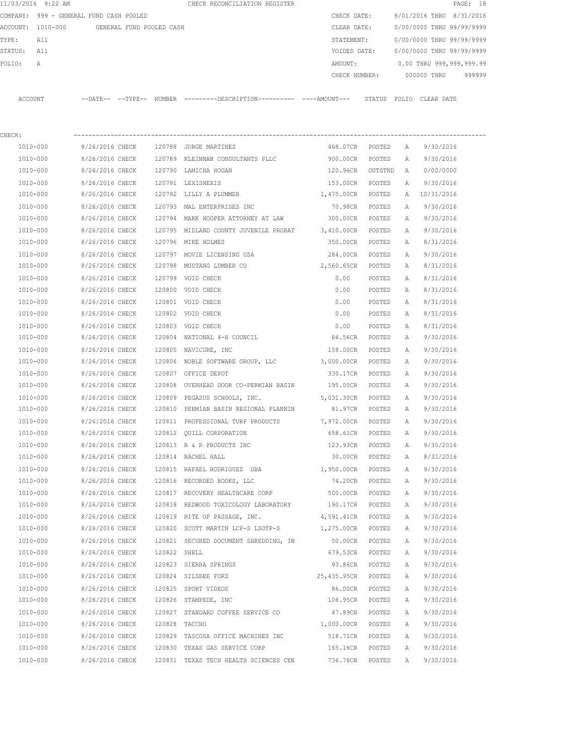|         | 11/03/2016 9:22 AM                      |                            |                          |        | CHECK RECONCILIATION REGISTER                |  |               |        |                           |             | PAGE: 18                  |        |
|---------|-----------------------------------------|----------------------------|--------------------------|--------|----------------------------------------------|--|---------------|--------|---------------------------|-------------|---------------------------|--------|
|         | COMPANY: 999 - GENERAL FUND CASH POOLED |                            |                          |        |                                              |  | CHECK DATE:   |        |                           |             | 8/01/2016 THRU 8/31/2016  |        |
|         | ACCOUNT: 1010-000                       |                            | GENERAL FUND POOLED CASH |        |                                              |  | CLEAR DATE:   |        |                           |             | 0/00/0000 THRU 99/99/9999 |        |
| TYPE:   | All                                     |                            |                          |        |                                              |  | STATEMENT:    |        |                           |             | 0/00/0000 THRU 99/99/9999 |        |
| STATUS: | All                                     |                            |                          |        |                                              |  | VOIDED DATE:  |        | 0/00/0000 THRU 99/99/9999 |             |                           |        |
| FOLIO:  | A                                       |                            |                          |        |                                              |  | AMOUNT:       |        |                           |             | 0.00 THRU 999,999,999.99  |        |
|         |                                         |                            |                          |        |                                              |  | CHECK NUMBER: |        |                           | 000000 THRU |                           | 999999 |
|         |                                         |                            |                          |        |                                              |  |               |        |                           |             |                           |        |
| ACCOUNT |                                         | $--$ DATE $- --$ TYPE $--$ |                          | NUMBER | ---------DESCRIPTION---------- ----AMOUNT--- |  |               | STATUS | FOLIO CLEAR DATE          |             |                           |        |
|         |                                         |                            |                          |        |                                              |  |               |        |                           |             |                           |        |

| CHECK:       |                 |              |                                              |                   |         |              |            |  |
|--------------|-----------------|--------------|----------------------------------------------|-------------------|---------|--------------|------------|--|
| 1010-000     | 8/26/2016 CHECK |              | 120788 JORGE MARTINEZ                        | 468.07CR          | POSTED  | A            | 9/30/2016  |  |
| 1010-000     | 8/26/2016 CHECK |              | 120789 KLEINMAN CONSULTANTS PLLC             | 900.00CR          | POSTED  | Α            | 9/30/2016  |  |
| 1010-000     | 8/26/2016 CHECK |              | 120790 LAMICHA HOGAN                         | 120.96CR          | OUTSTND | Α            | 0/00/0000  |  |
| 1010-000     | 8/26/2016 CHECK |              | 120791 LEXISNEXIS                            | 153.00CR          | POSTED  | Α            | 9/30/2016  |  |
| 1010-000     | 8/26/2016 CHECK |              | 120792 LILLY A PLUMMER                       | 1,475.00CR        | POSTED  | A            | 10/31/2016 |  |
| 1010-000     | 8/26/2016 CHECK |              | 120793 MAL ENTERPRISES INC                   | 70.98CR           | POSTED  | Α            | 9/30/2016  |  |
| 1010-000     | 8/26/2016 CHECK |              | 120794 MARK HOOPER ATTORNEY AT LAW           | 300.00CR          | POSTED  | Α            | 9/30/2016  |  |
| 1010-000     | 8/26/2016 CHECK |              | 120795 MIDLAND COUNTY JUVENILE PROBAT        | 3,410.00CR        | POSTED  | Α            | 9/30/2016  |  |
| 1010-000     | 8/26/2016 CHECK |              | 120796 MIKE HOLMES                           | 350.00CR          | POSTED  | Α            | 8/31/2016  |  |
| 1010-000     | 8/26/2016 CHECK |              | 120797 MOVIE LICENSING USA                   | 284.00CR          | POSTED  | A            | 9/30/2016  |  |
| 1010-000     | 8/26/2016 CHECK |              | 120798 MUSTANG LUMBER CO                     | 2,560.65CR        | POSTED  | A            | 8/31/2016  |  |
| 1010-000     | 8/26/2016 CHECK |              | 120799 VOID CHECK                            | 0.00              | POSTED  | Α            | 8/31/2016  |  |
| 1010-000     | 8/26/2016 CHECK |              | 120800 VOID CHECK                            | 0.00              | POSTED  | Α            | 8/31/2016  |  |
| 1010-000     | 8/26/2016 CHECK |              | 120801 VOID CHECK                            | 0.00              | POSTED  | Α            | 8/31/2016  |  |
| 1010-000     | 8/26/2016 CHECK |              | 120802 VOID CHECK                            | 0.00              | POSTED  | Α            | 8/31/2016  |  |
| 1010-000     | 8/26/2016 CHECK |              | 120803 VOID CHECK                            | 0.00              | POSTED  | A            | 8/31/2016  |  |
| 1010-000     | 8/26/2016 CHECK |              | 120804 NATIONAL 4-H COUNCIL                  | 66.56CR           | POSTED  | A            | 9/30/2016  |  |
| 1010-000     | 8/26/2016 CHECK |              | 120805 NAVICURE, INC                         | 158.00CR          | POSTED  | Α            | 9/30/2016  |  |
| 1010-000     | 8/26/2016 CHECK |              | 120806 NOBLE SOFTWARE GROUP, LLC             | 3,000.00CR POSTED |         | Α            | 9/30/2016  |  |
| 1010-000     | 8/26/2016 CHECK |              | 120807 OFFICE DEPOT                          | 330.17CR          | POSTED  | Α            | 9/30/2016  |  |
| 1010-000     | 8/26/2016 CHECK | 120808       | OVERHEAD DOOR CO-PERMIAN BASIN               | 195.00CR          | POSTED  | Α            | 9/30/2016  |  |
| 1010-000     | 8/26/2016 CHECK | 120809       | PEGASUS SCHOOLS, INC.                        | 5,031.30CR POSTED |         | Α            | 9/30/2016  |  |
| 1010-000     | 8/26/2016 CHECK | 120810       | PERMIAN BASIN REGIONAL PLANNIN               | 81.97CR           | POSTED  | A            | 9/30/2016  |  |
| 1010-000     | 8/26/2016 CHECK |              | 120811 PROFESSIONAL TURF PRODUCTS 7,972.00CR |                   | POSTED  | Α            | 9/30/2016  |  |
| 1010-000     | 8/26/2016 CHECK |              | 120812 QUILL CORPORATION                     | 658.61CR          | POSTED  | Α            | 9/30/2016  |  |
| 1010-000     | 8/26/2016 CHECK |              | 120813 R & R PRODUCTS INC                    | 123.93CR          | POSTED  | Α            | 9/30/2016  |  |
| $1010 - 000$ | 8/26/2016 CHECK |              | 120814 RACHEL HALL                           | 30.00CR           | POSTED  | Α            | 8/31/2016  |  |
| 1010-000     | 8/26/2016 CHECK |              | 120815 RAFAEL RODRIGUEZ DBA                  | 1,950.00CR        | POSTED  | Α            | 9/30/2016  |  |
| 1010-000     | 8/26/2016 CHECK |              | 120816 RECORDED BOOKS, LLC                   | 74.20CR           | POSTED  | A            | 9/30/2016  |  |
| 1010-000     | 8/26/2016 CHECK |              | 120817 RECOVERY HEALTHCARE CORP              | 500.00CR          | POSTED  | Α            | 9/30/2016  |  |
| 1010-000     | 8/26/2016 CHECK |              | 120818 REDWOOD TOXICOLOGY LABORATORY         | 190.17CR POSTED   |         | Α            | 9/30/2016  |  |
| 1010-000     | 8/26/2016 CHECK |              | 120819 RITE OF PASSAGE, INC.                 | 4,591.41CR        | POSTED  | Α            | 9/30/2016  |  |
| 1010-000     | 8/26/2016 CHECK |              | 120820 SCOTT MARTIN LCP-S LSOTP-S            | 1,275.00CR POSTED |         | Α            | 9/30/2016  |  |
| 1010-000     | 8/26/2016 CHECK |              | 120821 SECURED DOCUMENT SHREDDING, IN        | 50.00CR           | POSTED  | A            | 9/30/2016  |  |
| 1010-000     | 8/26/2016 CHECK | 120822 SHELL |                                              | 679.53CR          | POSTED  | $\mathbb{A}$ | 9/30/2016  |  |
| 1010-000     | 8/26/2016 CHECK |              | 120823 SIERRA SPRINGS                        | 93.86CR           | POSTED  | А            | 9/30/2016  |  |
| 1010-000     | 8/26/2016 CHECK |              | 120824 SILSBEE FORD                          | 25,435.95CR       | POSTED  | Α            | 9/30/2016  |  |
| 1010-000     | 8/26/2016 CHECK |              | 120825 SPORT VIDEOS                          | 86.00CR           | POSTED  | Α            | 9/30/2016  |  |
| 1010-000     | 8/26/2016 CHECK | 120826       | STAMPEDE, INC                                | 106.95CR          | POSTED  | Α            | 9/30/2016  |  |
| 1010-000     | 8/26/2016 CHECK | 120827       | STANDARD COFFEE SERVICE CO                   | 47.89CR           | POSTED  | Α            | 9/30/2016  |  |
| 1010-000     | 8/26/2016 CHECK | 120828       | TACCHO                                       | 1,000.00CR        | POSTED  | А            | 9/30/2016  |  |
| 1010-000     | 8/26/2016 CHECK |              | 120829 TASCOSA OFFICE MACHINES INC           | 518.71CR          | POSTED  | Α            | 9/30/2016  |  |
| 1010-000     | 8/26/2016 CHECK |              | 120830 TEXAS GAS SERVICE CORP                | 165.16CR          | POSTED  | Α            | 9/30/2016  |  |
| 1010-000     | 8/26/2016 CHECK |              | 120831 TEXAS TECH HEALTH SCIENCES CEN        | 736.78CR          | POSTED  | Α            | 9/30/2016  |  |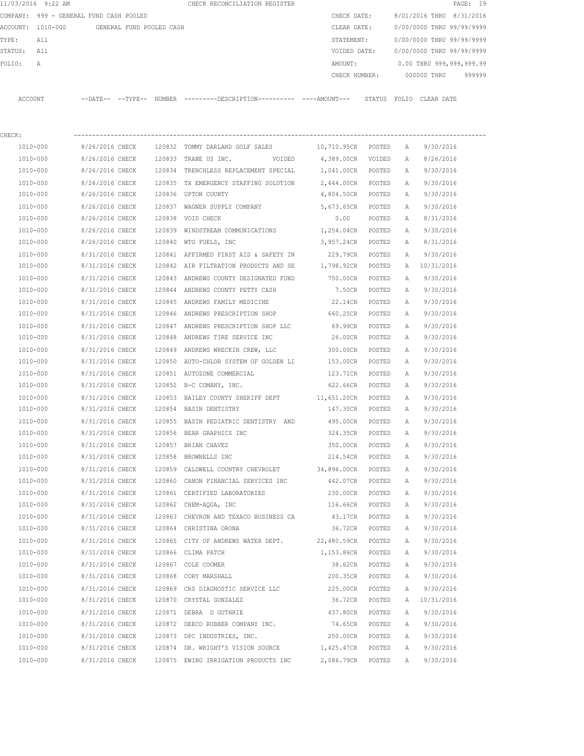|         | 11/03/2016 9:22 AM                      |                 |                          |        | CHECK RECONCILIATION REGISTER                                                              |                   |        |   |                           | PAGE: 19 |
|---------|-----------------------------------------|-----------------|--------------------------|--------|--------------------------------------------------------------------------------------------|-------------------|--------|---|---------------------------|----------|
|         | COMPANY: 999 - GENERAL FUND CASH POOLED |                 |                          |        |                                                                                            | CHECK DATE:       |        |   | 8/01/2016 THRU 8/31/2016  |          |
|         | ACCOUNT: 1010-000                       |                 | GENERAL FUND POOLED CASH |        |                                                                                            | CLEAR DATE:       |        |   | 0/00/0000 THRU 99/99/9999 |          |
| TYPE:   | All                                     |                 |                          |        |                                                                                            | STATEMENT:        |        |   | 0/00/0000 THRU 99/99/9999 |          |
| STATUS: | All                                     |                 |                          |        |                                                                                            | VOIDED DATE:      |        |   | 0/00/0000 THRU 99/99/9999 |          |
| FOLIO:  | Α                                       |                 |                          |        |                                                                                            | AMOUNT:           |        |   | 0.00 THRU 999,999,999.99  |          |
|         |                                         |                 |                          |        |                                                                                            | CHECK NUMBER:     |        |   | 000000 THRU               | 999999   |
|         | ACCOUNT                                 |                 |                          |        | --DATE-- --TYPE-- NUMBER --------DESCRIPTION--------- ----AMOUNT--- STATUS FOLIO CLEARDATE |                   |        |   |                           |          |
| CHECK:  |                                         |                 |                          |        |                                                                                            |                   |        |   |                           |          |
|         | 1010-000                                | 8/26/2016 CHECK |                          |        |                                                                                            |                   |        |   | 9/30/2016                 |          |
|         | 1010-000                                | 8/26/2016 CHECK |                          |        | 120833 TRANE US INC.<br>VOIDED                                                             | 4,389.00CR VOIDED |        | A | 8/26/2016                 |          |
|         | 1010-000                                | 8/26/2016 CHECK |                          |        | 120834 TRENCHLESS REPLACEMENT SPECIAL                                                      | 1,041.00CR POSTED |        | Α | 9/30/2016                 |          |
|         | 1010-000                                | 8/26/2016 CHECK |                          |        | 120835 TX EMERGENCY STAFFING SOLUTION                                                      | 2,444.00CR POSTED |        | A | 9/30/2016                 |          |
|         | 1010-000                                | 8/26/2016 CHECK |                          |        | 120836 UPTON COUNTY                                                                        | 4,804.50CR POSTED |        | A | 9/30/2016                 |          |
|         | 1010-000                                | 8/26/2016 CHECK |                          |        | 120837 WAGNER SUPPLY COMPANY                                                               | 5,673.65CR POSTED |        | A | 9/30/2016                 |          |
|         | 1010-000                                | 8/26/2016 CHECK |                          |        | 120838 VOID CHECK                                                                          | 0.00              | POSTED | A | 8/31/2016                 |          |
|         | 1010-000                                | 8/26/2016 CHECK |                          | 120839 | WINDSTREAM COMMUNICATIONS                                                                  | 1,254.04CR POSTED |        | A | 9/30/2016                 |          |
|         | 1010-000                                | 8/26/2016 CHECK |                          |        | 120840 WTG FUELS, INC                                                                      | 3,957.24CR POSTED |        | A | 8/31/2016                 |          |
|         | 1010-000                                | 8/31/2016 CHECK |                          |        | 120841 AFFIRMED FIRST AID & SAFETY IN                                                      | 229.79CR POSTED   |        | Α | 9/30/2016                 |          |
|         | 1010-000                                | 8/31/2016 CHECK |                          |        | 120842 AIR FILTRATION PRODUCTS AND SE 1,798.92CR POSTED                                    |                   |        | A | 10/31/2016                |          |
|         | 1010-000                                | 8/31/2016 CHECK |                          |        | 120843 ANDREWS COUNTY DESIGNATED FUND                                                      | 750.00CR POSTED   |        | Α | 9/30/2016                 |          |
|         | 1010-000                                | 8/31/2016 CHECK |                          |        | 120844 ANDREWS COUNTY PETTY CASH                                                           | 7.50CR            | POSTED | A | 9/30/2016                 |          |
|         | 1010-000                                | 8/31/2016 CHECK |                          |        | 120845 ANDREWS FAMILY MEDICINE                                                             | 22.14CR           | POSTED | А | 9/30/2016                 |          |
|         | 1010-000                                | 8/31/2016 CHECK |                          |        | 120846 ANDREWS PRESCRIPTION SHOP                                                           | 660.25CR          | POSTED | А | 9/30/2016                 |          |
|         | 1010-000                                | 8/31/2016 CHECK |                          |        | 120847 ANDREWS PRESCRIPTION SHOP LLC                                                       | 69.99CR POSTED    |        | Α | 9/30/2016                 |          |
|         | 1010-000                                | 8/31/2016 CHECK |                          |        | 120848 ANDREWS TIRE SERVICE INC                                                            | 26.00CR           | POSTED | A | 9/30/2016                 |          |
|         | 1010-000                                | 8/31/2016 CHECK |                          |        | 120849 ANDREWS WRECKIN CREW, LLC                                                           | 300.00CR          | POSTED | A | 9/30/2016                 |          |
|         | 1010-000                                | 8/31/2016 CHECK |                          |        | 120850 AUTO-CHLOR SYSTEM OF GOLDEN LI                                                      | 153.00CR          | POSTED | Α | 9/30/2016                 |          |
|         | 1010-000                                | 8/31/2016 CHECK |                          |        | 120851 AUTOZONE COMMERCIAL                                                                 | 123.71CR          | POSTED | Α | 9/30/2016                 |          |
|         | 1010-000                                | 8/31/2016 CHECK |                          |        | 120852 B-C COMANY, INC.                                                                    | 622.66CR POSTED   |        | А | 9/30/2016                 |          |
|         | 1010-000                                | 8/31/2016 CHECK |                          |        | 120853 BAILEY COUNTY SHERIFF DEPT 11,651.20CR POSTED                                       |                   |        | Α | 9/30/2016                 |          |
|         | 1010-000                                |                 |                          |        | 8/31/2016 CHECK 120854 BASIN DENTISTRY                                                     | 147.30CR          | POSTED | A | 9/30/2016                 |          |
|         | 1010-000                                |                 |                          |        | 8/31/2016 CHECK 120855 BASIN PEDIATRIC DENTISTRY AND 495.00CR                              |                   | POSTED | A | 9/30/2016                 |          |
|         | 1010-000                                | 8/31/2016 CHECK |                          |        | 120856 BEAR GRAPHICS INC                                                                   | 324.35CR          | POSTED | А | 9/30/2016                 |          |
|         | 1010-000                                | 8/31/2016 CHECK |                          |        | 120857 BRIAN CHAVEZ                                                                        | 350.00CR          | POSTED | Α | 9/30/2016                 |          |
|         | 1010-000                                | 8/31/2016 CHECK |                          |        | 120858 BROWNELLS INC                                                                       | 214.54CR          | POSTED | Α | 9/30/2016                 |          |
|         | 1010-000                                | 8/31/2016 CHECK |                          |        | 120859 CALDWELL COUNTRY CHEVROLET                                                          | 34,896.00CR       | POSTED | Α | 9/30/2016                 |          |
|         | 1010-000                                | 8/31/2016 CHECK |                          |        | 120860 CANON FINANCIAL SERVICES INC                                                        | 442.07CR          | POSTED | Α | 9/30/2016                 |          |
|         | 1010-000                                | 8/31/2016 CHECK |                          |        | 120861 CERTIFIED LABORATORIES                                                              | 230.00CR          | POSTED | Α | 9/30/2016                 |          |
|         | 1010-000                                | 8/31/2016 CHECK |                          |        | 120862 CHEM-AQUA, INC                                                                      | 116.66CR          | POSTED | Α | 9/30/2016                 |          |
|         | 1010-000                                | 8/31/2016 CHECK |                          |        | 120863 CHEVRON AND TEXACO BUSINESS CA                                                      | 43.17CR           | POSTED | Α | 9/30/2016                 |          |
|         | 1010-000                                | 8/31/2016 CHECK |                          |        | 120864 CHRISTINA ORONA                                                                     | 36.72CR           | POSTED | Α | 9/30/2016                 |          |
|         | 1010-000                                | 8/31/2016 CHECK |                          |        | 120865 CITY OF ANDREWS WATER DEPT.                                                         | 22,480.59CR       | POSTED | Α | 9/30/2016                 |          |
|         | 1010-000                                | 8/31/2016 CHECK |                          |        | 120866 CLIMA PATCH                                                                         | 1,153.86CR        | POSTED | Α | 9/30/2016                 |          |
|         | 1010-000                                | 8/31/2016 CHECK |                          |        | 120867 COLE COOMER                                                                         | 38.62CR           | POSTED | Α | 9/30/2016                 |          |
|         | 1010-000                                | 8/31/2016 CHECK |                          |        | 120868 CORY MARSHALL                                                                       | 200.35CR          | POSTED | Α | 9/30/2016                 |          |
|         | 1010-000                                | 8/31/2016 CHECK |                          |        | 120869 CRS DIAGNOSTIC SERVICE LLC                                                          | 225.00CR          | POSTED | Α | 9/30/2016                 |          |
|         | 1010-000                                | 8/31/2016 CHECK |                          |        | 120870 CRYSTAL GONZALEZ                                                                    | 36.72CR           | POSTED | Α | 10/31/2016                |          |
|         | 1010-000                                | 8/31/2016 CHECK |                          |        | 120871 DEBRA D GUTHRIE                                                                     | 437.80CR          | POSTED | Α | 9/30/2016                 |          |
|         | 1010-000                                | 8/31/2016 CHECK |                          |        | 120872 DEECO RUBBER COMPANY INC.                                                           | 74.65CR           | POSTED | Α | 9/30/2016                 |          |
|         | 1010-000                                | 8/31/2016 CHECK |                          |        | 120873 DPC INDUSTRIES, INC.                                                                | 250.00CR POSTED   |        | Α | 9/30/2016                 |          |
|         | 1010-000                                | 8/31/2016 CHECK |                          |        | 120874 DR. WRIGHT'S VISION SOURCE                                                          | 1,425.47CR POSTED |        | Α | 9/30/2016                 |          |
|         | 1010-000                                | 8/31/2016 CHECK |                          |        | 120875 EWING IRRIGATION PRODUCTS INC                                                       | 2,086.79CR        | POSTED | Α | 9/30/2016                 |          |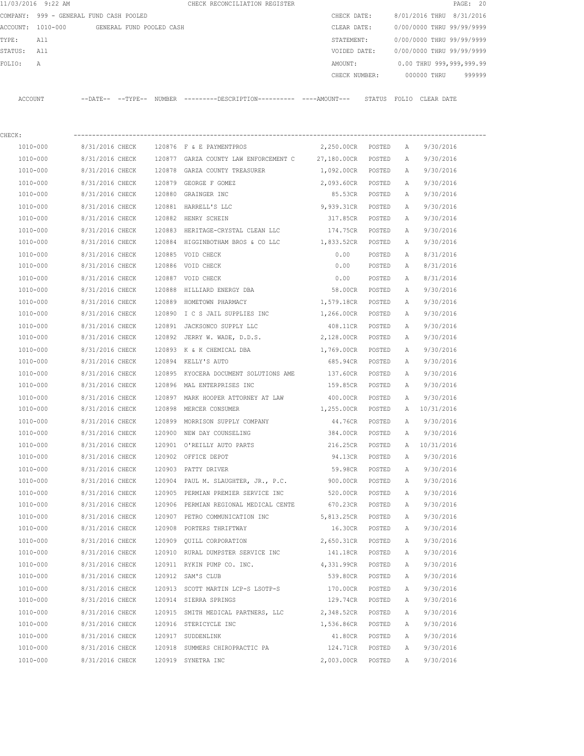| 11/03/2016 9:22 AM                         |                 |  | CHECK RECONCILIATION REGISTER                                                                                 |                   | PAGE: 20 |                           |                            |  |  |
|--------------------------------------------|-----------------|--|---------------------------------------------------------------------------------------------------------------|-------------------|----------|---------------------------|----------------------------|--|--|
| COMPANY: 999 - GENERAL FUND CASH POOLED    |                 |  |                                                                                                               | CHECK DATE:       |          | 8/01/2016 THRU 8/31/2016  |                            |  |  |
| ACCOUNT: 1010-000 GENERAL FUND POOLED CASH |                 |  |                                                                                                               | CLEAR DATE:       |          | 0/00/0000 THRU 99/99/9999 |                            |  |  |
| TYPE:<br>All                               |                 |  |                                                                                                               | STATEMENT:        |          |                           | 0/00/0000 THRU 99/99/9999  |  |  |
| STATUS: All                                |                 |  |                                                                                                               | VOIDED DATE:      |          | 0/00/0000 THRU 99/99/9999 |                            |  |  |
| FOLIO:<br>Α                                |                 |  |                                                                                                               | AMOUNT:           |          |                           | 0.00 THRU 999,999,999.99   |  |  |
|                                            |                 |  |                                                                                                               | CHECK NUMBER:     |          | 000000 THRU<br>999999     |                            |  |  |
| ACCOUNT                                    |                 |  | --DATE-- --TYPE-- NUMBER --------DESCRIPTION--------- ---AMOUNT--- STATUS FOLIO CLEAR DATE                    |                   |          |                           |                            |  |  |
|                                            |                 |  |                                                                                                               |                   |          |                           |                            |  |  |
| CHECK:                                     |                 |  |                                                                                                               |                   |          |                           |                            |  |  |
| 1010-000                                   |                 |  | 8/31/2016 CHECK 120876 F & E PAYMENTPROS                                                                      | 2,250.00CR POSTED |          | A                         | 9/30/2016                  |  |  |
| 1010-000                                   | 8/31/2016 CHECK |  | 120877 GARZA COUNTY LAW ENFORCEMENT C                                                                         | 27,180.00CR       | POSTED   | A                         | 9/30/2016                  |  |  |
| 1010-000                                   | 8/31/2016 CHECK |  | 120878 GARZA COUNTY TREASURER                                                                                 | 1,092.00CR POSTED |          | A                         | 9/30/2016                  |  |  |
| 1010-000                                   | 8/31/2016 CHECK |  | 120879 GEORGE F GOMEZ                                                                                         | 2,093.60CR        | POSTED   | A                         | 9/30/2016                  |  |  |
| 1010-000                                   | 8/31/2016 CHECK |  | 120880 GRAINGER INC                                                                                           | 85.53CR           | POSTED   | A                         | 9/30/2016                  |  |  |
| 1010-000                                   | 8/31/2016 CHECK |  | 120881 HARRELL'S LLC                                                                                          | 9,939.31CR        | POSTED   | Α                         | 9/30/2016                  |  |  |
| 1010-000                                   | 8/31/2016 CHECK |  | 120882 HENRY SCHEIN                                                                                           | 317.85CR          | POSTED   | Α                         | 9/30/2016                  |  |  |
| 1010-000                                   | 8/31/2016 CHECK |  | 120883 HERITAGE-CRYSTAL CLEAN LLC                                                                             | 174.75CR          | POSTED   | A                         | 9/30/2016                  |  |  |
| 1010-000                                   | 8/31/2016 CHECK |  | 120884 HIGGINBOTHAM BROS & CO LLC 1,833.52CR                                                                  |                   | POSTED   | A                         | 9/30/2016                  |  |  |
| 1010-000                                   | 8/31/2016 CHECK |  | 120885 VOID CHECK                                                                                             | 0.00              | POSTED   | Α                         | 8/31/2016                  |  |  |
| 1010-000                                   | 8/31/2016 CHECK |  | 120886 VOID CHECK                                                                                             | 0.00              | POSTED   | Α                         | 8/31/2016                  |  |  |
| 1010-000                                   | 8/31/2016 CHECK |  | 120887 VOID CHECK                                                                                             | 0.00              | POSTED   | Α                         | 8/31/2016                  |  |  |
| 1010-000                                   | 8/31/2016 CHECK |  | 120888 HILLIARD ENERGY DBA                                                                                    | 58.00CR POSTED    |          | Α                         | 9/30/2016                  |  |  |
| 1010-000                                   | 8/31/2016 CHECK |  | 120889 HOMETOWN PHARMACY                                                                                      | 1,579.18CR        | POSTED   | A                         | 9/30/2016                  |  |  |
| 1010-000                                   | 8/31/2016 CHECK |  | 120890 I C S JAIL SUPPLIES INC                                                                                | 1,266.00CR POSTED |          | A                         | 9/30/2016                  |  |  |
| 1010-000                                   | 8/31/2016 CHECK |  | 120891 JACKSONCO SUPPLY LLC                                                                                   | 408.11CR          | POSTED   | A                         | 9/30/2016                  |  |  |
| $1010 - 000$                               | 8/31/2016 CHECK |  | 120892 JERRY W. WADE, D.D.S.                                                                                  | 2,128.00CR POSTED |          | A                         | 9/30/2016                  |  |  |
| 1010-000                                   | 8/31/2016 CHECK |  | 120893 K & K CHEMICAL DBA                                                                                     | 1,769.00CR POSTED |          | Α                         | 9/30/2016                  |  |  |
| 1010-000                                   | 8/31/2016 CHECK |  | 120894 KELLY'S AUTO                                                                                           | 685.94CR POSTED   |          | Α                         | 9/30/2016                  |  |  |
| 1010-000                                   | 8/31/2016 CHECK |  | 120895 KYOCERA DOCUMENT SOLUTIONS AME                                                                         | 137.60CR          | POSTED   | Α                         | 9/30/2016                  |  |  |
| 1010-000                                   | 8/31/2016 CHECK |  | 120896 MAL ENTERPRISES INC                                                                                    | 159.85CR          | POSTED   | A                         | 9/30/2016                  |  |  |
| 1010-000                                   | 8/31/2016 CHECK |  | 120897 MARK HOOPER ATTORNEY AT LAW                                                                            | 400.00CR          | POSTED   | Α                         | 9/30/2016                  |  |  |
| 1010-000                                   | 8/31/2016 CHECK |  | 120898 MERCER CONSUMER                                                                                        | 1,255.00CR POSTED |          |                           | A 10/31/2016               |  |  |
| 1010-000                                   |                 |  | 8/31/2016 CHECK 120899 MORRISON SUPPLY COMPANY                                                                |                   |          |                           | 44.76CR POSTED A 9/30/2016 |  |  |
| 1010-000                                   | 8/31/2016 CHECK |  | 120900 NEW DAY COUNSELING                                                                                     | 384.00CR POSTED   |          | A                         | 9/30/2016                  |  |  |
| 1010-000                                   | 8/31/2016 CHECK |  | 120901 O'REILLY AUTO PARTS                                                                                    | 216.25CR POSTED   |          |                           | A 10/31/2016               |  |  |
| 1010-000                                   | 8/31/2016 CHECK |  | 120902 OFFICE DEPOT                                                                                           | 94.13CR POSTED    |          | A                         | 9/30/2016                  |  |  |
| 1010-000                                   | 8/31/2016 CHECK |  | 120903 PATTY DRIVER                                                                                           | 59.98CR           | POSTED   | A                         | 9/30/2016                  |  |  |
| 1010-000                                   | 8/31/2016 CHECK |  | 120904 PAUL M. SLAUGHTER, JR., P.C. 900.00CR POSTED                                                           |                   |          | A                         | 9/30/2016                  |  |  |
| 1010-000                                   | 8/31/2016 CHECK |  | 120905 PERMIAN PREMIER SERVICE INC 520.00CR POSTED                                                            |                   |          | A                         | 9/30/2016                  |  |  |
| 1010-000                                   | 8/31/2016 CHECK |  | 120906 PERMIAN REGIONAL MEDICAL CENTE 670.23CR POSTED                                                         |                   |          | A                         | 9/30/2016                  |  |  |
| 1010-000                                   | 8/31/2016 CHECK |  | 120907 PETRO COMMUNICATION INC 5,813.25CR POSTED                                                              |                   |          | A                         | 9/30/2016                  |  |  |
| 1010-000                                   | 8/31/2016 CHECK |  | 120908 PORTERS THRIFTWAY                                                                                      | 16.30CR POSTED    |          | A                         | 9/30/2016                  |  |  |
| 1010-000                                   |                 |  | 8/31/2016 CHECK 120909 QUILL CORPORATION                                                                      | 2,650.31CR POSTED |          | A                         | 9/30/2016                  |  |  |
| 1010-000                                   | 8/31/2016 CHECK |  | 120910 RURAL DUMPSTER SERVICE INC 141.18CR POSTED                                                             |                   |          | A                         | 9/30/2016                  |  |  |
| 1010-000                                   |                 |  | 8/31/2016 CHECK 120911 RYKIN PUMP CO. INC.                                                                    | 4,331.99CR POSTED |          | A                         | 9/30/2016                  |  |  |
| 1010-000                                   | 8/31/2016 CHECK |  | 120912 SAM'S CLUB                                                                                             | 539.80CR          | POSTED   | A                         | 9/30/2016                  |  |  |
| 1010-000                                   | 8/31/2016 CHECK |  | 120913 SCOTT MARTIN LCP-S LSOTP-S                                                                             | 170.00CR POSTED   |          | A                         | 9/30/2016                  |  |  |
| 1010-000                                   |                 |  | 8/31/2016 CHECK 120914 SIERRA SPRINGS                                                                         | 129.74CR POSTED   |          | A                         | 9/30/2016                  |  |  |
| 1010-000                                   |                 |  |                                                                                                               |                   |          |                           |                            |  |  |
| 1010-000                                   |                 |  | 8/31/2016 CHECK 120915 SMITH MEDICAL PARTNERS, LLC 2,348.52CR POSTED<br>8/31/2016 CHECK 120916 STERICYCLE INC | 1,536.86CR POSTED |          | Α                         | 9/30/2016                  |  |  |
|                                            |                 |  |                                                                                                               |                   |          | A                         | 9/30/2016                  |  |  |

 1010-000 8/31/2016 CHECK 120917 SUDDENLINK 41.80CR POSTED A 9/30/2016 1010-000 8/31/2016 CHECK 120918 SUMMERS CHIROPRACTIC PA 124.71CR POSTED A 9/30/2016 1010-000 8/31/2016 CHECK 120919 SYNETRA INC 2,003.00CR POSTED A 9/30/2016